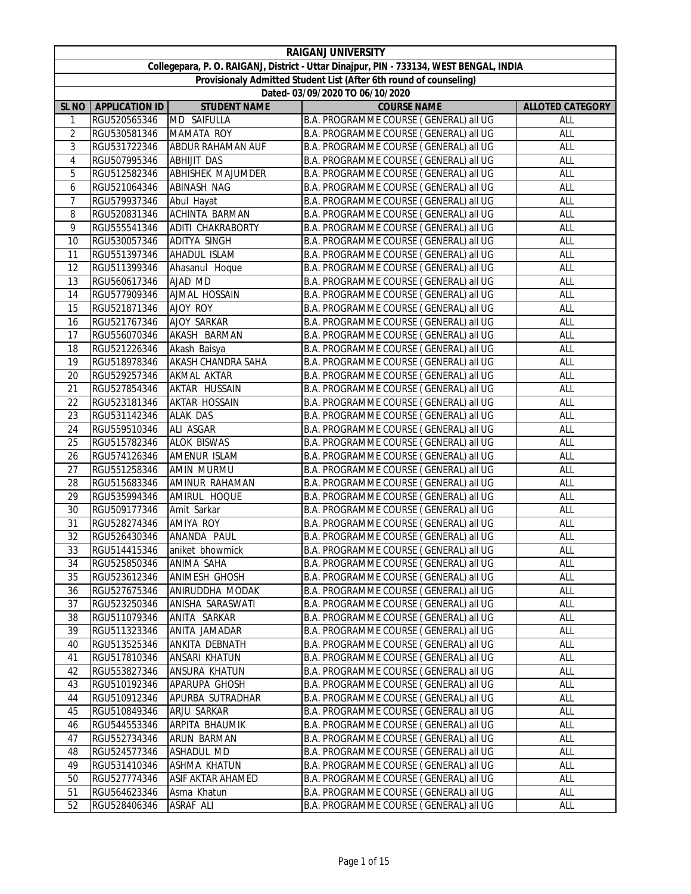|                  | <b>RAIGANJ UNIVERSITY</b>    |                                     |                                                                                         |                         |  |  |
|------------------|------------------------------|-------------------------------------|-----------------------------------------------------------------------------------------|-------------------------|--|--|
|                  |                              |                                     | Collegepara, P. O. RAIGANJ, District - Uttar Dinajpur, PIN - 733134, WEST BENGAL, INDIA |                         |  |  |
|                  |                              |                                     | Provisionaly Admitted Student List (After 6th round of counseling)                      |                         |  |  |
|                  |                              |                                     | Dated- 03/09/2020 TO 06/10/2020                                                         |                         |  |  |
| SL <sub>NO</sub> | <b>APPLICATION ID</b>        | <b>STUDENT NAME</b>                 | <b>COURSE NAME</b>                                                                      | <b>ALLOTED CATEGORY</b> |  |  |
| 1                | RGU520565346                 | MD SAIFULLA                         | B.A. PROGRAMME COURSE (GENERAL) all UG                                                  | ALL                     |  |  |
| $\overline{2}$   | RGU530581346                 | <b>MAMATA ROY</b>                   | B.A. PROGRAMME COURSE (GENERAL) all UG                                                  | ALL                     |  |  |
| 3                | RGU531722346                 | <b>ABDUR RAHAMAN AUF</b>            | B.A. PROGRAMME COURSE (GENERAL) all UG                                                  | ALL                     |  |  |
| $\overline{4}$   | RGU507995346                 | <b>ABHIJIT DAS</b>                  | B.A. PROGRAMME COURSE (GENERAL) all UG                                                  | ALL                     |  |  |
| 5                | RGU512582346                 | <b>ABHISHEK MAJUMDER</b>            | B.A. PROGRAMME COURSE (GENERAL) all UG                                                  | ALL                     |  |  |
| 6                | RGU521064346                 | <b>ABINASH NAG</b>                  | B.A. PROGRAMME COURSE (GENERAL) all UG                                                  | ALL                     |  |  |
| $\overline{7}$   | RGU579937346                 | Abul Hayat                          | B.A. PROGRAMME COURSE (GENERAL) all UG                                                  | ALL                     |  |  |
| 8                | RGU520831346                 | <b>ACHINTA BARMAN</b>               | B.A. PROGRAMME COURSE (GENERAL) all UG                                                  | ALL                     |  |  |
| 9                | RGU555541346                 | <b>ADITI CHAKRABORTY</b>            | B.A. PROGRAMME COURSE (GENERAL) all UG                                                  | ALL                     |  |  |
| 10               | RGU530057346                 | <b>ADITYA SINGH</b>                 | B.A. PROGRAMME COURSE (GENERAL) all UG                                                  | ALL                     |  |  |
| 11               | RGU551397346                 | AHADUL ISLAM                        | B.A. PROGRAMME COURSE (GENERAL) all UG                                                  | ALL                     |  |  |
| 12               | RGU511399346                 | Ahasanul Hoque                      | B.A. PROGRAMME COURSE (GENERAL) all UG                                                  | ALL                     |  |  |
| 13               | RGU560617346                 | AJAD MD                             | <b>B.A. PROGRAMME COURSE (GENERAL) all UG</b>                                           | ALL                     |  |  |
| 14               | RGU577909346                 | AJMAL HOSSAIN                       | B.A. PROGRAMME COURSE (GENERAL) all UG                                                  | ALL                     |  |  |
| 15               | RGU521871346                 | AJOY ROY                            | B.A. PROGRAMME COURSE (GENERAL) all UG                                                  | ALL                     |  |  |
| 16               | RGU521767346                 | <b>AJOY SARKAR</b>                  | B.A. PROGRAMME COURSE (GENERAL) all UG                                                  | ALL                     |  |  |
| 17               | RGU556070346                 | AKASH BARMAN                        | B.A. PROGRAMME COURSE (GENERAL) all UG                                                  | ALL                     |  |  |
| 18               | RGU521226346                 | Akash Baisya                        | B.A. PROGRAMME COURSE (GENERAL) all UG                                                  | ALL                     |  |  |
| 19               | RGU518978346                 | AKASH CHANDRA SAHA                  | B.A. PROGRAMME COURSE (GENERAL) all UG                                                  | ALL                     |  |  |
| 20               | RGU529257346                 | AKMAL AKTAR                         | B.A. PROGRAMME COURSE (GENERAL) all UG                                                  | ALL                     |  |  |
| 21               | RGU527854346                 | AKTAR HUSSAIN                       | B.A. PROGRAMME COURSE (GENERAL) all UG                                                  | ALL                     |  |  |
| $\overline{22}$  | RGU523181346                 | <b>AKTAR HOSSAIN</b>                | B.A. PROGRAMME COURSE (GENERAL) all UG                                                  | ALL                     |  |  |
| 23               | RGU531142346                 | <b>ALAK DAS</b>                     | B.A. PROGRAMME COURSE (GENERAL) all UG                                                  | ALL                     |  |  |
| 24               | RGU559510346                 | <b>ALI ASGAR</b>                    | B.A. PROGRAMME COURSE (GENERAL) all UG                                                  | ALL                     |  |  |
| 25               | RGU515782346                 | <b>ALOK BISWAS</b>                  | B.A. PROGRAMME COURSE (GENERAL) all UG                                                  | ALL                     |  |  |
| 26               | RGU574126346                 | AMENUR ISLAM                        | B.A. PROGRAMME COURSE (GENERAL) all UG                                                  | ALL                     |  |  |
| 27               | RGU551258346                 | AMIN MURMU                          | B.A. PROGRAMME COURSE (GENERAL) all UG                                                  | ALL                     |  |  |
| 28               | RGU515683346                 | AMINUR RAHAMAN                      | B.A. PROGRAMME COURSE (GENERAL) all UG                                                  | ALL                     |  |  |
| 29               | RGU535994346                 | AMIRUL HOQUE                        | B.A. PROGRAMME COURSE (GENERAL) all UG                                                  | ALL                     |  |  |
| 30               | RGU509177346                 | Amit Sarkar                         | B.A. PROGRAMME COURSE (GENERAL) all UG                                                  | ALL                     |  |  |
| $\overline{31}$  | RGU528274346<br>RGU526430346 | <b>AMIYA ROY</b><br>ANANDA PAUL     | B.A. PROGRAMME COURSE (GENERAL) all UG                                                  | ALL                     |  |  |
| 32               |                              |                                     | B.A. PROGRAMME COURSE (GENERAL) all UG                                                  | ALL                     |  |  |
| 33               | RGU514415346                 | aniket bhowmick                     | B.A. PROGRAMME COURSE (GENERAL) all UG                                                  | ALL                     |  |  |
| 34               | RGU525850346                 | ANIMA SAHA                          | B.A. PROGRAMME COURSE (GENERAL) all UG                                                  | ALL                     |  |  |
| 35<br>36         | RGU523612346                 | <b>ANIMESH GHOSH</b>                | B.A. PROGRAMME COURSE (GENERAL) all UG                                                  | ALL<br>ALL              |  |  |
| 37               | RGU527675346                 | ANIRUDDHA MODAK<br>ANISHA SARASWATI | B.A. PROGRAMME COURSE (GENERAL) all UG<br>B.A. PROGRAMME COURSE (GENERAL) all UG        | ALL                     |  |  |
| 38               | RGU523250346<br>RGU511079346 | ANITA SARKAR                        | B.A. PROGRAMME COURSE (GENERAL) all UG                                                  | ALL                     |  |  |
| 39               | RGU511323346                 | ANITA JAMADAR                       | B.A. PROGRAMME COURSE (GENERAL) all UG                                                  | ALL                     |  |  |
| 40               | RGU513525346                 | ANKITA DEBNATH                      | B.A. PROGRAMME COURSE (GENERAL) all UG                                                  | ALL                     |  |  |
| 41               | RGU517810346                 | ANSARI KHATUN                       | B.A. PROGRAMME COURSE (GENERAL) all UG                                                  | ALL                     |  |  |
| 42               | RGU553827346                 | ANSURA KHATUN                       | B.A. PROGRAMME COURSE (GENERAL) all UG                                                  | ALL                     |  |  |
| 43               | RGU510192346                 | APARUPA GHOSH                       | B.A. PROGRAMME COURSE (GENERAL) all UG                                                  | ALL                     |  |  |
| 44               | RGU510912346                 | APURBA SUTRADHAR                    | B.A. PROGRAMME COURSE (GENERAL) all UG                                                  | ALL                     |  |  |
| 45               | RGU510849346                 | ARJU SARKAR                         | B.A. PROGRAMME COURSE (GENERAL) all UG                                                  | ALL                     |  |  |
| 46               | RGU544553346                 | ARPITA BHAUMIK                      | B.A. PROGRAMME COURSE (GENERAL) all UG                                                  | ALL                     |  |  |
| 47               | RGU552734346                 | ARUN BARMAN                         | B.A. PROGRAMME COURSE (GENERAL) all UG                                                  | ALL                     |  |  |
| 48               | RGU524577346                 | ASHADUL MD                          | B.A. PROGRAMME COURSE (GENERAL) all UG                                                  | ALL                     |  |  |
| 49               | RGU531410346                 | ASHMA KHATUN                        | B.A. PROGRAMME COURSE (GENERAL) all UG                                                  | ALL                     |  |  |
| 50               | RGU527774346                 | ASIF AKTAR AHAMED                   | B.A. PROGRAMME COURSE (GENERAL) all UG                                                  | ALL                     |  |  |
| 51               | RGU564623346                 | Asma Khatun                         | B.A. PROGRAMME COURSE (GENERAL) all UG                                                  | ALL                     |  |  |
| 52               | RGU528406346                 | ASRAF ALI                           | B.A. PROGRAMME COURSE (GENERAL) all UG                                                  | ALL                     |  |  |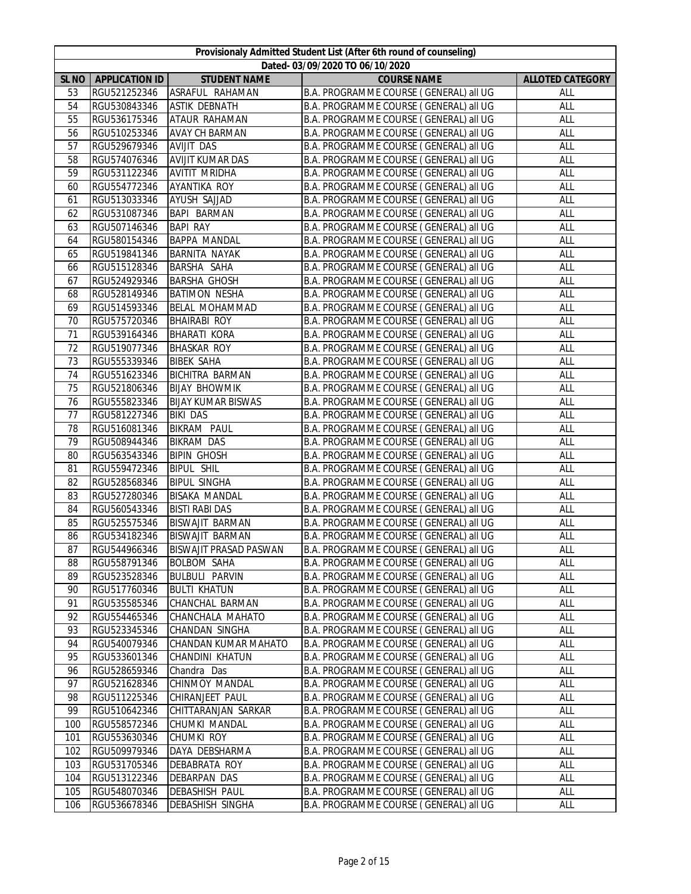|              |                                 |                                                 | Provisionaly Admitted Student List (After 6th round of counseling)               |                         |  |  |
|--------------|---------------------------------|-------------------------------------------------|----------------------------------------------------------------------------------|-------------------------|--|--|
|              | Dated- 03/09/2020 TO 06/10/2020 |                                                 |                                                                                  |                         |  |  |
| <b>SL NO</b> | <b>APPLICATION ID</b>           | <b>STUDENT NAME</b>                             | <b>COURSE NAME</b>                                                               | <b>ALLOTED CATEGORY</b> |  |  |
| 53           | RGU521252346                    | ASRAFUL RAHAMAN                                 | B.A. PROGRAMME COURSE (GENERAL) all UG                                           | ALL                     |  |  |
| 54           | RGU530843346                    | ASTIK DEBNATH                                   | B.A. PROGRAMME COURSE (GENERAL) all UG                                           | ALL                     |  |  |
| 55           | RGU536175346                    | ATAUR RAHAMAN                                   | B.A. PROGRAMME COURSE (GENERAL) all UG                                           | ALL                     |  |  |
| 56           | RGU510253346                    | <b>AVAY CH BARMAN</b>                           | B.A. PROGRAMME COURSE (GENERAL) all UG                                           | ALL                     |  |  |
| 57<br>58     | RGU529679346                    | <b>AVIJIT DAS</b>                               | B.A. PROGRAMME COURSE (GENERAL) all UG<br>B.A. PROGRAMME COURSE (GENERAL) all UG | ALL                     |  |  |
| 59           | RGU574076346                    | <b>AVIJIT KUMAR DAS</b><br><b>AVITIT MRIDHA</b> |                                                                                  | ALL                     |  |  |
|              | RGU531122346                    |                                                 | B.A. PROGRAMME COURSE (GENERAL) all UG                                           | ALL<br>ALL              |  |  |
| 60           | RGU554772346                    | AYANTIKA ROY                                    | B.A. PROGRAMME COURSE (GENERAL) all UG                                           | ALL                     |  |  |
| 61<br>62     | RGU513033346<br>RGU531087346    | AYUSH SAJJAD<br><b>BAPI BARMAN</b>              | B.A. PROGRAMME COURSE (GENERAL) all UG<br>B.A. PROGRAMME COURSE (GENERAL) all UG | ALL                     |  |  |
| 63           | RGU507146346                    | <b>BAPI RAY</b>                                 | B.A. PROGRAMME COURSE (GENERAL) all UG                                           | ALL                     |  |  |
| 64           | RGU580154346                    | <b>BAPPA MANDAL</b>                             | B.A. PROGRAMME COURSE (GENERAL) all UG                                           | ALL                     |  |  |
| 65           | RGU519841346                    | <b>BARNITA NAYAK</b>                            | B.A. PROGRAMME COURSE (GENERAL) all UG                                           | ALL                     |  |  |
| 66           | RGU515128346                    | BARSHA SAHA                                     | B.A. PROGRAMME COURSE (GENERAL) all UG                                           | ALL                     |  |  |
| 67           | RGU524929346                    | <b>BARSHA GHOSH</b>                             | B.A. PROGRAMME COURSE (GENERAL) all UG                                           | ALL                     |  |  |
| 68           | RGU528149346                    | <b>BATIMON NESHA</b>                            | B.A. PROGRAMME COURSE (GENERAL) all UG                                           | ALL                     |  |  |
| 69           | RGU514593346                    | <b>BELAL MOHAMMAD</b>                           | B.A. PROGRAMME COURSE (GENERAL) all UG                                           | ALL                     |  |  |
| 70           | RGU575720346                    | <b>BHAIRABI ROY</b>                             | B.A. PROGRAMME COURSE (GENERAL) all UG                                           | ALL                     |  |  |
| 71           | RGU539164346                    | <b>BHARATI KORA</b>                             | B.A. PROGRAMME COURSE (GENERAL) all UG                                           | ALL                     |  |  |
| 72           | RGU519077346                    | <b>BHASKAR ROY</b>                              | B.A. PROGRAMME COURSE (GENERAL) all UG                                           | ALL                     |  |  |
| 73           | RGU555339346                    | <b>BIBEK SAHA</b>                               | B.A. PROGRAMME COURSE (GENERAL) all UG                                           | ALL                     |  |  |
| 74           | RGU551623346                    | <b>BICHITRA BARMAN</b>                          | B.A. PROGRAMME COURSE (GENERAL) all UG                                           | ALL                     |  |  |
| 75           | RGU521806346                    | <b>BIJAY BHOWMIK</b>                            | B.A. PROGRAMME COURSE (GENERAL) all UG                                           | ALL                     |  |  |
| 76           | RGU555823346                    | <b>BIJAY KUMAR BISWAS</b>                       | B.A. PROGRAMME COURSE (GENERAL) all UG                                           | ALL                     |  |  |
| 77           | RGU581227346                    | <b>BIKI DAS</b>                                 | B.A. PROGRAMME COURSE (GENERAL) all UG                                           | ALL                     |  |  |
| 78           | RGU516081346                    | <b>BIKRAM PAUL</b>                              | B.A. PROGRAMME COURSE (GENERAL) all UG                                           | ALL                     |  |  |
| 79           | RGU508944346                    | <b>BIKRAM DAS</b>                               | B.A. PROGRAMME COURSE (GENERAL) all UG                                           | ALL                     |  |  |
| 80           | RGU563543346                    | <b>BIPIN GHOSH</b>                              | B.A. PROGRAMME COURSE (GENERAL) all UG                                           | ALL                     |  |  |
| 81           | RGU559472346                    | <b>BIPUL SHIL</b>                               | B.A. PROGRAMME COURSE (GENERAL) all UG                                           | ALL                     |  |  |
| 82           | RGU528568346                    | <b>BIPUL SINGHA</b>                             | B.A. PROGRAMME COURSE (GENERAL) all UG                                           | ALL                     |  |  |
| 83           | RGU527280346                    | <b>BISAKA MANDAL</b>                            | B.A. PROGRAMME COURSE (GENERAL) all UG                                           | ALL                     |  |  |
| 84           | RGU560543346                    | <b>BISTI RABI DAS</b>                           | B.A. PROGRAMME COURSE (GENERAL) all UG                                           | ALL                     |  |  |
| 85           | RGU525575346                    | <b>BISWAJIT BARMAN</b>                          | B.A. PROGRAMME COURSE (GENERAL) all UG                                           | ALL                     |  |  |
| 86           | RGU534182346                    | <b>BISWAJIT BARMAN</b>                          | B.A. PROGRAMME COURSE (GENERAL) all UG                                           | ALL                     |  |  |
| 87           | RGU544966346                    | <b>BISWAJIT PRASAD PASWAN</b>                   | B.A. PROGRAMME COURSE (GENERAL) all UG                                           | ALL                     |  |  |
| 88           | RGU558791346                    | <b>BOLBOM SAHA</b>                              | B.A. PROGRAMME COURSE (GENERAL) all UG                                           | ALL                     |  |  |
| 89           | RGU523528346                    | <b>BULBULI PARVIN</b>                           | B.A. PROGRAMME COURSE (GENERAL) all UG                                           | ALL                     |  |  |
| 90           | RGU517760346                    | <b>BULTI KHATUN</b>                             | B.A. PROGRAMME COURSE (GENERAL) all UG                                           | ALL                     |  |  |
| 91           | RGU535585346                    | CHANCHAL BARMAN                                 | B.A. PROGRAMME COURSE (GENERAL) all UG                                           | ALL                     |  |  |
| 92           | RGU554465346                    | CHANCHALA MAHATO                                | B.A. PROGRAMME COURSE (GENERAL) all UG                                           | <b>ALL</b>              |  |  |
| 93           | RGU523345346                    | CHANDAN SINGHA                                  | B.A. PROGRAMME COURSE (GENERAL) all UG                                           | <b>ALL</b>              |  |  |
| 94           | RGU540079346                    | CHANDAN KUMAR MAHATO                            | B.A. PROGRAMME COURSE (GENERAL) all UG                                           | ALL                     |  |  |
| 95           | RGU533601346                    | CHANDINI KHATUN                                 | B.A. PROGRAMME COURSE (GENERAL) all UG                                           | <b>ALL</b>              |  |  |
| 96           | RGU528659346                    | Chandra Das                                     | B.A. PROGRAMME COURSE (GENERAL) all UG                                           | <b>ALL</b>              |  |  |
| 97           | RGU521628346                    | CHINMOY MANDAL                                  | B.A. PROGRAMME COURSE (GENERAL) all UG                                           | ALL                     |  |  |
| 98           | RGU511225346                    | CHIRANJEET PAUL                                 | B.A. PROGRAMME COURSE (GENERAL) all UG                                           | ALL                     |  |  |
| 99           | RGU510642346                    | CHITTARANJAN SARKAR                             | B.A. PROGRAMME COURSE (GENERAL) all UG                                           | ALL                     |  |  |
| 100          | RGU558572346                    | CHUMKI MANDAL                                   | B.A. PROGRAMME COURSE (GENERAL) all UG                                           | ALL                     |  |  |
| 101          | RGU553630346                    | <b>CHUMKI ROY</b>                               | B.A. PROGRAMME COURSE (GENERAL) all UG                                           | ALL                     |  |  |
| 102          | RGU509979346                    | DAYA DEBSHARMA                                  | B.A. PROGRAMME COURSE (GENERAL) all UG                                           | ALL                     |  |  |
| 103          | RGU531705346                    | DEBABRATA ROY                                   | B.A. PROGRAMME COURSE (GENERAL) all UG                                           | ALL                     |  |  |
| 104          | RGU513122346                    | DEBARPAN DAS                                    | B.A. PROGRAMME COURSE (GENERAL) all UG                                           | ALL                     |  |  |
| 105          | RGU548070346                    | <b>DEBASHISH PAUL</b>                           | B.A. PROGRAMME COURSE (GENERAL) all UG                                           | ALL                     |  |  |
| 106          | RGU536678346                    | DEBASHISH SINGHA                                | B.A. PROGRAMME COURSE (GENERAL) all UG                                           | ALL                     |  |  |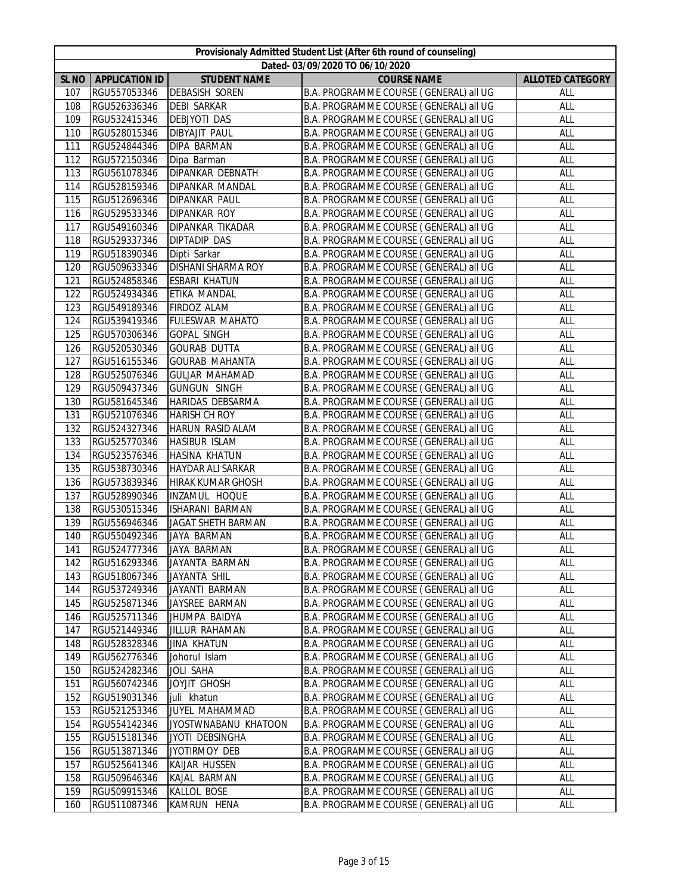|                  | Provisionaly Admitted Student List (After 6th round of counseling) |                                             |                                                                                  |                         |  |  |
|------------------|--------------------------------------------------------------------|---------------------------------------------|----------------------------------------------------------------------------------|-------------------------|--|--|
|                  |                                                                    |                                             | Dated- 03/09/2020 TO 06/10/2020                                                  |                         |  |  |
| SL <sub>NO</sub> | <b>APPLICATION ID</b>                                              | <b>STUDENT NAME</b>                         | <b>COURSE NAME</b>                                                               | <b>ALLOTED CATEGORY</b> |  |  |
| 107<br>108       | RGU557053346<br>RGU526336346                                       | <b>DEBASISH SOREN</b><br><b>DEBI SARKAR</b> | B.A. PROGRAMME COURSE (GENERAL) all UG<br>B.A. PROGRAMME COURSE (GENERAL) all UG | ALL<br>ALL              |  |  |
| 109              | RGU532415346                                                       | <b>DEBJYOTI DAS</b>                         | B.A. PROGRAMME COURSE (GENERAL) all UG                                           | ALL                     |  |  |
| 110              | RGU528015346                                                       | <b>DIBYAJIT PAUL</b>                        | B.A. PROGRAMME COURSE (GENERAL) all UG                                           | ALL                     |  |  |
| 111              | RGU524844346                                                       | DIPA BARMAN                                 | B.A. PROGRAMME COURSE (GENERAL) all UG                                           | ALL                     |  |  |
| 112              | RGU572150346                                                       | Dipa Barman                                 | B.A. PROGRAMME COURSE (GENERAL) all UG                                           | ALL                     |  |  |
| 113              | RGU561078346                                                       | DIPANKAR DEBNATH                            | B.A. PROGRAMME COURSE (GENERAL) all UG                                           | ALL                     |  |  |
| 114              | RGU528159346                                                       | DIPANKAR MANDAL                             | B.A. PROGRAMME COURSE (GENERAL) all UG                                           | ALL                     |  |  |
| 115              | RGU512696346                                                       | <b>DIPANKAR PAUL</b>                        | B.A. PROGRAMME COURSE (GENERAL) all UG                                           | ALL                     |  |  |
| 116              | RGU529533346                                                       | DIPANKAR ROY                                | B.A. PROGRAMME COURSE (GENERAL) all UG                                           | ALL                     |  |  |
| 117              | RGU549160346                                                       | DIPANKAR TIKADAR                            | B.A. PROGRAMME COURSE (GENERAL) all UG                                           | ALL                     |  |  |
| 118              | RGU529337346                                                       | <b>DIPTADIP DAS</b>                         | B.A. PROGRAMME COURSE (GENERAL) all UG                                           | ALL                     |  |  |
| 119              | RGU518390346                                                       | Dipti Sarkar                                | B.A. PROGRAMME COURSE (GENERAL) all UG                                           | ALL                     |  |  |
| 120              | RGU509633346                                                       | <b>DISHANI SHARMA ROY</b>                   | B.A. PROGRAMME COURSE (GENERAL) all UG                                           | ALL                     |  |  |
| 121              | RGU524858346                                                       | <b>ESBARI KHATUN</b>                        | B.A. PROGRAMME COURSE (GENERAL) all UG                                           | ALL                     |  |  |
| 122              | RGU524934346                                                       | ETIKA MANDAL                                | B.A. PROGRAMME COURSE (GENERAL) all UG                                           | ALL                     |  |  |
| 123              | RGU549189346                                                       | FIRDOZ ALAM                                 | B.A. PROGRAMME COURSE (GENERAL) all UG                                           | ALL                     |  |  |
| 124              | RGU539419346                                                       | <b>FULESWAR MAHATO</b>                      | B.A. PROGRAMME COURSE (GENERAL) all UG                                           | ALL                     |  |  |
| 125              | RGU570306346                                                       | <b>GOPAL SINGH</b>                          | B.A. PROGRAMME COURSE (GENERAL) all UG                                           | ALL                     |  |  |
| 126              | RGU520530346                                                       | <b>GOURAB DUTTA</b>                         | B.A. PROGRAMME COURSE (GENERAL) all UG                                           | ALL                     |  |  |
| 127              | RGU516155346                                                       | <b>GOURAB MAHANTA</b>                       | B.A. PROGRAMME COURSE (GENERAL) all UG                                           | ALL                     |  |  |
| 128              | RGU525076346                                                       | <b>GULJAR MAHAMAD</b>                       | B.A. PROGRAMME COURSE (GENERAL) all UG                                           | ALL                     |  |  |
| 129              | RGU509437346                                                       | <b>GUNGUN SINGH</b>                         | B.A. PROGRAMME COURSE (GENERAL) all UG                                           | ALL                     |  |  |
| 130              | RGU581645346                                                       | <b>HARIDAS DEBSARMA</b>                     | B.A. PROGRAMME COURSE (GENERAL) all UG                                           | ALL                     |  |  |
| 131              | RGU521076346                                                       | <b>HARISH CH ROY</b>                        | B.A. PROGRAMME COURSE (GENERAL) all UG                                           | ALL                     |  |  |
| 132              | RGU524327346                                                       | <b>HARUN RASID ALAM</b>                     | B.A. PROGRAMME COURSE (GENERAL) all UG                                           | ALL                     |  |  |
| 133              | RGU525770346                                                       | <b>HASIBUR ISLAM</b>                        | B.A. PROGRAMME COURSE (GENERAL) all UG                                           | ALL                     |  |  |
| 134              | RGU523576346                                                       | <b>HASINA KHATUN</b>                        | B.A. PROGRAMME COURSE (GENERAL) all UG                                           | ALL                     |  |  |
| 135              | RGU538730346                                                       | HAYDAR ALI SARKAR                           | B.A. PROGRAMME COURSE (GENERAL) all UG                                           | ALL                     |  |  |
| 136              | RGU573839346                                                       | <b>HIRAK KUMAR GHOSH</b>                    | B.A. PROGRAMME COURSE (GENERAL) all UG                                           | ALL                     |  |  |
| 137              | RGU528990346                                                       | INZAMUL HOQUE                               | B.A. PROGRAMME COURSE (GENERAL) all UG                                           | ALL                     |  |  |
| 138              | RGU530515346                                                       | <b>ISHARANI BARMAN</b>                      | B.A. PROGRAMME COURSE (GENERAL) all UG                                           | ALL                     |  |  |
| 139              | RGU556946346                                                       | JAGAT SHETH BARMAN                          | B.A. PROGRAMME COURSE (GENERAL) all UG                                           | ALL                     |  |  |
| 140              | RGU550492346                                                       | <b>JAYA BARMAN</b>                          | B.A. PROGRAMME COURSE (GENERAL) all UG                                           | ALL                     |  |  |
| 141              | RGU524777346 JAYA BARMAN                                           |                                             | B.A. PROGRAMME COURSE (GENERAL) all UG                                           | ALL                     |  |  |
| 142              | RGU516293346                                                       | JAYANTA BARMAN                              | B.A. PROGRAMME COURSE (GENERAL) all UG                                           | ALL                     |  |  |
| 143              | RGU518067346                                                       | JAYANTA SHIL                                | B.A. PROGRAMME COURSE (GENERAL) all UG                                           | ALL                     |  |  |
| 144              | RGU537249346                                                       | JAYANTI BARMAN                              | B.A. PROGRAMME COURSE (GENERAL) all UG                                           | ALL                     |  |  |
| 145              | RGU525871346                                                       | JAYSREE BARMAN                              | B.A. PROGRAMME COURSE (GENERAL) all UG                                           | <b>ALL</b>              |  |  |
| 146              | RGU525711346                                                       | <b>JHUMPA BAIDYA</b>                        | B.A. PROGRAMME COURSE (GENERAL) all UG                                           | ALL                     |  |  |
| 147              | RGU521449346                                                       | JILLUR RAHAMAN                              | B.A. PROGRAMME COURSE (GENERAL) all UG                                           | ALL                     |  |  |
| 148              | RGU528328346                                                       | <b>JINA KHATUN</b>                          | B.A. PROGRAMME COURSE (GENERAL) all UG                                           | ALL                     |  |  |
| 149              | RGU562776346                                                       | Johorul Islam                               | B.A. PROGRAMME COURSE (GENERAL) all UG                                           | ALL                     |  |  |
| 150              | RGU524282346                                                       | <b>JOLI SAHA</b>                            | B.A. PROGRAMME COURSE (GENERAL) all UG                                           | ALL                     |  |  |
| 151              | RGU560742346                                                       | JOYJIT GHOSH                                | B.A. PROGRAMME COURSE (GENERAL) all UG                                           | ALL                     |  |  |
| 152              | RGU519031346                                                       | juli khatun                                 | B.A. PROGRAMME COURSE (GENERAL) all UG                                           | <b>ALL</b>              |  |  |
| 153              | RGU521253346                                                       | JUYEL MAHAMMAD                              | B.A. PROGRAMME COURSE (GENERAL) all UG                                           | <b>ALL</b>              |  |  |
| 154              | RGU554142346                                                       | JYOSTWNABANU KHATOON                        | B.A. PROGRAMME COURSE (GENERAL) all UG                                           | <b>ALL</b>              |  |  |
| 155              | RGU515181346                                                       | JYOTI DEBSINGHA                             | B.A. PROGRAMME COURSE (GENERAL) all UG                                           | <b>ALL</b>              |  |  |
| 156              | RGU513871346                                                       | JYOTIRMOY DEB                               | B.A. PROGRAMME COURSE (GENERAL) all UG                                           | ALL                     |  |  |
| 157              | RGU525641346                                                       | KAIJAR HUSSEN                               | B.A. PROGRAMME COURSE (GENERAL) all UG                                           | ALL                     |  |  |
| 158              | RGU509646346                                                       | KAJAL BARMAN                                | B.A. PROGRAMME COURSE (GENERAL) all UG                                           | ALL                     |  |  |
| 159              | RGU509915346                                                       | <b>KALLOL BOSE</b>                          | B.A. PROGRAMME COURSE (GENERAL) all UG                                           | ALL                     |  |  |
| 160              | RGU511087346                                                       | KAMRUN HENA                                 | B.A. PROGRAMME COURSE (GENERAL) all UG                                           | ALL                     |  |  |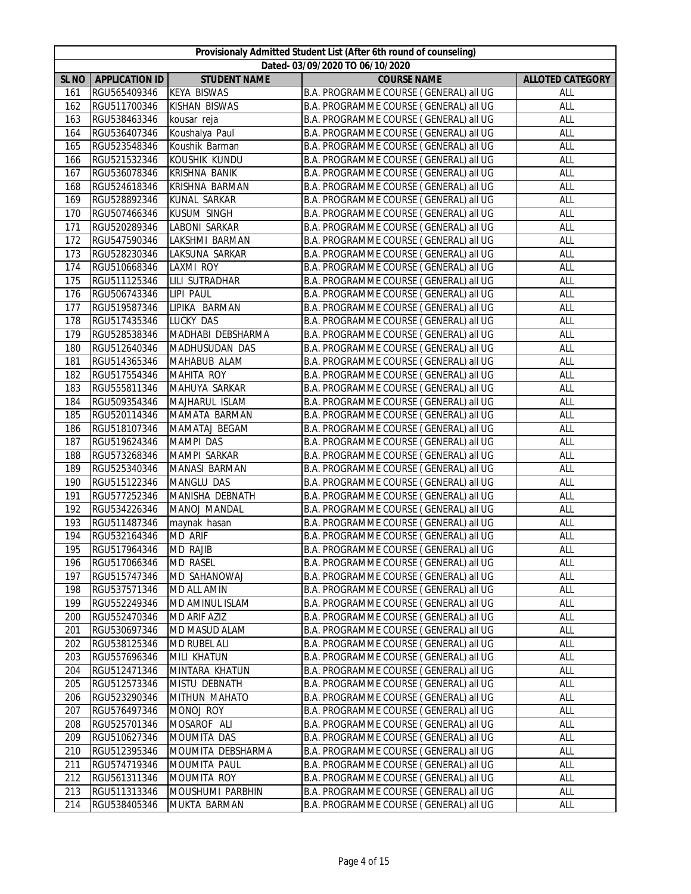|              |                              |                               | Provisionaly Admitted Student List (After 6th round of counseling)               |                         |
|--------------|------------------------------|-------------------------------|----------------------------------------------------------------------------------|-------------------------|
|              |                              |                               | Dated-03/09/2020 TO 06/10/2020                                                   |                         |
| <b>SL NO</b> | <b>APPLICATION ID</b>        | <b>STUDENT NAME</b>           | <b>COURSE NAME</b>                                                               | <b>ALLOTED CATEGORY</b> |
| 161          | RGU565409346<br>RGU511700346 | <b>KEYA BISWAS</b>            | B.A. PROGRAMME COURSE (GENERAL) all UG<br>B.A. PROGRAMME COURSE (GENERAL) all UG | ALL                     |
| 162<br>163   | RGU538463346                 | KISHAN BISWAS                 | B.A. PROGRAMME COURSE (GENERAL) all UG                                           | ALL<br>ALL              |
| 164          |                              | kousar reja<br>Koushalya Paul | B.A. PROGRAMME COURSE (GENERAL) all UG                                           | ALL                     |
| 165          | RGU536407346<br>RGU523548346 | Koushik Barman                | B.A. PROGRAMME COURSE (GENERAL) all UG                                           | ALL                     |
| 166          | RGU521532346                 | <b>KOUSHIK KUNDU</b>          | B.A. PROGRAMME COURSE (GENERAL) all UG                                           | ALL                     |
| 167          | RGU536078346                 | <b>KRISHNA BANIK</b>          | B.A. PROGRAMME COURSE (GENERAL) all UG                                           | ALL                     |
| 168          | RGU524618346                 | KRISHNA BARMAN                | B.A. PROGRAMME COURSE (GENERAL) all UG                                           | ALL                     |
| 169          | RGU528892346                 | KUNAL SARKAR                  | B.A. PROGRAMME COURSE (GENERAL) all UG                                           | ALL                     |
| 170          | RGU507466346                 | <b>KUSUM SINGH</b>            | B.A. PROGRAMME COURSE (GENERAL) all UG                                           | ALL                     |
| 171          | RGU520289346                 | LABONI SARKAR                 | B.A. PROGRAMME COURSE (GENERAL) all UG                                           | ALL                     |
| 172          | RGU547590346                 | LAKSHMI BARMAN                | B.A. PROGRAMME COURSE (GENERAL) all UG                                           | ALL                     |
| 173          | RGU528230346                 | LAKSUNA SARKAR                | B.A. PROGRAMME COURSE (GENERAL) all UG                                           | ALL                     |
| 174          | RGU510668346                 | <b>LAXMI ROY</b>              | B.A. PROGRAMME COURSE (GENERAL) all UG                                           | ALL                     |
| 175          | RGU511125346                 | <b>LILI SUTRADHAR</b>         | B.A. PROGRAMME COURSE (GENERAL) all UG                                           | ALL                     |
| 176          | RGU506743346                 | LIPI PAUL                     | B.A. PROGRAMME COURSE (GENERAL) all UG                                           | ALL                     |
| 177          | RGU519587346                 | LIPIKA BARMAN                 | B.A. PROGRAMME COURSE (GENERAL) all UG                                           | ALL                     |
| 178          | RGU517435346                 | <b>LUCKY DAS</b>              | B.A. PROGRAMME COURSE (GENERAL) all UG                                           | ALL                     |
| 179          | RGU528538346                 | MADHABI DEBSHARMA             | B.A. PROGRAMME COURSE (GENERAL) all UG                                           | ALL                     |
| 180          | RGU512640346                 | MADHUSUDAN DAS                | B.A. PROGRAMME COURSE (GENERAL) all UG                                           | ALL                     |
| 181          | RGU514365346                 | MAHABUB ALAM                  | B.A. PROGRAMME COURSE (GENERAL) all UG                                           | ALL                     |
| 182          | RGU517554346                 | <b>MAHITA ROY</b>             | B.A. PROGRAMME COURSE (GENERAL) all UG                                           | ALL                     |
| 183          | RGU555811346                 | MAHUYA SARKAR                 | B.A. PROGRAMME COURSE (GENERAL) all UG                                           | ALL                     |
| 184          | RGU509354346                 | MAJHARUL ISLAM                | B.A. PROGRAMME COURSE (GENERAL) all UG                                           | ALL                     |
| 185          | RGU520114346                 | MAMATA BARMAN                 | B.A. PROGRAMME COURSE (GENERAL) all UG                                           | ALL                     |
| 186          | RGU518107346                 | MAMATAJ BEGAM                 | B.A. PROGRAMME COURSE (GENERAL) all UG                                           | ALL                     |
| 187          | RGU519624346                 | <b>MAMPI DAS</b>              | B.A. PROGRAMME COURSE (GENERAL) all UG                                           | ALL                     |
| 188          | RGU573268346                 | <b>MAMPI SARKAR</b>           | B.A. PROGRAMME COURSE (GENERAL) all UG                                           | ALL                     |
| 189          | RGU525340346                 | <b>MANASI BARMAN</b>          | B.A. PROGRAMME COURSE (GENERAL) all UG                                           | ALL                     |
| 190          | RGU515122346                 | <b>MANGLU DAS</b>             | B.A. PROGRAMME COURSE (GENERAL) all UG                                           | ALL                     |
| 191          | RGU577252346                 | MANISHA DEBNATH               | B.A. PROGRAMME COURSE (GENERAL) all UG                                           | ALL                     |
| 192          | RGU534226346                 | <b>MANOJ MANDAL</b>           | B.A. PROGRAMME COURSE (GENERAL) all UG                                           | ALL                     |
| 193          | RGU511487346                 | maynak hasan                  | B.A. PROGRAMME COURSE (GENERAL) all UG                                           | ALL                     |
| 194          | RGU532164346                 | <b>MD ARIF</b>                | B.A. PROGRAMME COURSE (GENERAL) all UG                                           | ALL                     |
| 195          | RGU517964346                 | <b>MD RAJIB</b>               | B.A. PROGRAMME COURSE (GENERAL) all UG                                           | ALL                     |
| 196          | RGU517066346                 | MD RASEL                      | B.A. PROGRAMME COURSE (GENERAL) all UG                                           | ALL                     |
| 197          | RGU515747346                 | MD SAHANOWAJ                  | B.A. PROGRAMME COURSE (GENERAL) all UG                                           | ALL                     |
| 198          | RGU537571346                 | MD ALL AMIN                   | B.A. PROGRAMME COURSE (GENERAL) all UG                                           | ALL                     |
| 199          | RGU552249346                 | MD AMINUL ISLAM               | B.A. PROGRAMME COURSE (GENERAL) all UG                                           | ALL                     |
| 200          | RGU552470346                 | MD ARIF AZIZ                  | B.A. PROGRAMME COURSE (GENERAL) all UG                                           | ALL                     |
| 201          | RGU530697346                 | MD MASUD ALAM                 | B.A. PROGRAMME COURSE (GENERAL) all UG                                           | ALL                     |
| 202          | RGU538125346                 | <b>MD RUBEL ALI</b>           | B.A. PROGRAMME COURSE (GENERAL) all UG                                           | <b>ALL</b>              |
| 203          | RGU557696346                 | <b>MILI KHATUN</b>            | B.A. PROGRAMME COURSE (GENERAL) all UG                                           | <b>ALL</b>              |
| 204          | RGU512471346                 | MINTARA KHATUN                | B.A. PROGRAMME COURSE (GENERAL) all UG                                           | <b>ALL</b>              |
| 205          | RGU512573346                 | <b>MISTU DEBNATH</b>          | B.A. PROGRAMME COURSE (GENERAL) all UG                                           | ALL                     |
| 206          | RGU523290346                 | MITHUN MAHATO                 | B.A. PROGRAMME COURSE (GENERAL) all UG                                           | ALL                     |
| 207          | RGU576497346                 | MONOJ ROY                     | B.A. PROGRAMME COURSE (GENERAL) all UG                                           | ALL                     |
| 208          | RGU525701346                 | MOSAROF ALI                   | B.A. PROGRAMME COURSE (GENERAL) all UG                                           | ALL                     |
| 209          | RGU510627346                 | MOUMITA DAS                   | B.A. PROGRAMME COURSE (GENERAL) all UG                                           | ALL                     |
| 210          | RGU512395346                 | MOUMITA DEBSHARMA             | B.A. PROGRAMME COURSE (GENERAL) all UG                                           | ALL                     |
| 211          | RGU574719346                 | MOUMITA PAUL                  | B.A. PROGRAMME COURSE (GENERAL) all UG                                           | ALL                     |
| 212          | RGU561311346                 | MOUMITA ROY                   | B.A. PROGRAMME COURSE (GENERAL) all UG                                           | ALL                     |
| 213          | RGU511313346                 | MOUSHUMI PARBHIN              | B.A. PROGRAMME COURSE (GENERAL) all UG                                           | ALL                     |
| 214          | RGU538405346                 | MUKTA BARMAN                  | B.A. PROGRAMME COURSE (GENERAL) all UG                                           | ALL                     |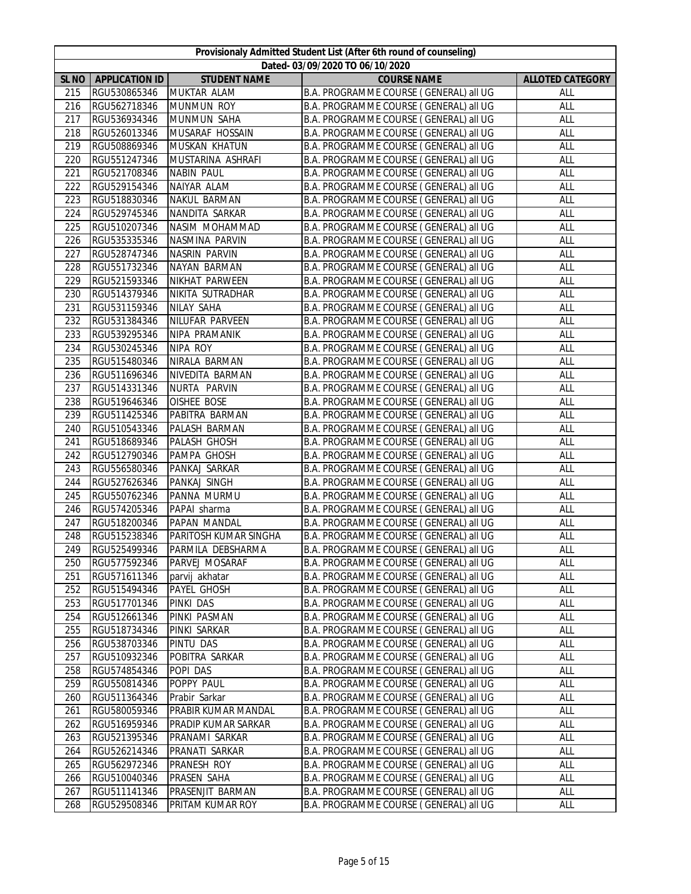|            | Provisionaly Admitted Student List (After 6th round of counseling)                                                    |                                         |                                                                                  |                         |  |  |
|------------|-----------------------------------------------------------------------------------------------------------------------|-----------------------------------------|----------------------------------------------------------------------------------|-------------------------|--|--|
|            | Dated- 03/09/2020 TO 06/10/2020<br><b>STUDENT NAME</b><br><b>SL NO</b><br><b>APPLICATION ID</b><br><b>COURSE NAME</b> |                                         |                                                                                  |                         |  |  |
|            |                                                                                                                       |                                         |                                                                                  | <b>ALLOTED CATEGORY</b> |  |  |
| 215<br>216 | RGU530865346<br>RGU562718346                                                                                          | <b>MUKTAR ALAM</b><br><b>MUNMUN ROY</b> | B.A. PROGRAMME COURSE (GENERAL) all UG<br>B.A. PROGRAMME COURSE (GENERAL) all UG | ALL<br>ALL              |  |  |
| 217        | RGU536934346                                                                                                          | <b>MUNMUN SAHA</b>                      | B.A. PROGRAMME COURSE (GENERAL) all UG                                           | ALL                     |  |  |
| 218        | RGU526013346                                                                                                          | MUSARAF HOSSAIN                         | B.A. PROGRAMME COURSE (GENERAL) all UG                                           | ALL                     |  |  |
| 219        | RGU508869346                                                                                                          | <b>MUSKAN KHATUN</b>                    | B.A. PROGRAMME COURSE (GENERAL) all UG                                           | ALL                     |  |  |
| 220        | RGU551247346                                                                                                          | MUSTARINA ASHRAFI                       | B.A. PROGRAMME COURSE (GENERAL) all UG                                           | ALL                     |  |  |
| 221        | RGU521708346                                                                                                          | <b>NABIN PAUL</b>                       | B.A. PROGRAMME COURSE (GENERAL) all UG                                           | ALL                     |  |  |
| 222        | RGU529154346                                                                                                          | NAIYAR ALAM                             | B.A. PROGRAMME COURSE (GENERAL) all UG                                           | ALL                     |  |  |
| 223        | RGU518830346                                                                                                          | NAKUL BARMAN                            | B.A. PROGRAMME COURSE (GENERAL) all UG                                           | ALL                     |  |  |
| 224        | RGU529745346                                                                                                          | NANDITA SARKAR                          | B.A. PROGRAMME COURSE (GENERAL) all UG                                           | ALL                     |  |  |
| 225        | RGU510207346                                                                                                          | NASIM MOHAMMAD                          | B.A. PROGRAMME COURSE (GENERAL) all UG                                           | ALL                     |  |  |
| 226        | RGU535335346                                                                                                          | NASMINA PARVIN                          | B.A. PROGRAMME COURSE (GENERAL) all UG                                           | ALL                     |  |  |
| 227        | RGU528747346                                                                                                          | NASRIN PARVIN                           | B.A. PROGRAMME COURSE (GENERAL) all UG                                           | ALL                     |  |  |
| 228        | RGU551732346                                                                                                          | NAYAN BARMAN                            | B.A. PROGRAMME COURSE (GENERAL) all UG                                           | ALL                     |  |  |
| 229        | RGU521593346                                                                                                          | NIKHAT PARWEEN                          | B.A. PROGRAMME COURSE (GENERAL) all UG                                           | ALL                     |  |  |
| 230        | RGU514379346                                                                                                          | NIKITA SUTRADHAR                        | B.A. PROGRAMME COURSE (GENERAL) all UG                                           | ALL                     |  |  |
| 231        | RGU531159346                                                                                                          | <b>NILAY SAHA</b>                       | B.A. PROGRAMME COURSE (GENERAL) all UG                                           | ALL                     |  |  |
| 232        | RGU531384346                                                                                                          | NILUFAR PARVEEN                         | B.A. PROGRAMME COURSE (GENERAL) all UG                                           | ALL                     |  |  |
| 233        | RGU539295346                                                                                                          | NIPA PRAMANIK                           | B.A. PROGRAMME COURSE (GENERAL) all UG                                           | ALL                     |  |  |
| 234        | RGU530245346                                                                                                          | <b>NIPA ROY</b>                         | B.A. PROGRAMME COURSE (GENERAL) all UG                                           | ALL                     |  |  |
| 235        | RGU515480346                                                                                                          | NIRALA BARMAN                           | B.A. PROGRAMME COURSE (GENERAL) all UG                                           | ALL                     |  |  |
| 236        | RGU511696346                                                                                                          | NIVEDITA BARMAN                         | B.A. PROGRAMME COURSE (GENERAL) all UG                                           | ALL                     |  |  |
| 237        | RGU514331346                                                                                                          | NURTA PARVIN                            | B.A. PROGRAMME COURSE (GENERAL) all UG                                           | ALL                     |  |  |
| 238        | RGU519646346                                                                                                          | <b>OISHEE BOSE</b>                      | B.A. PROGRAMME COURSE (GENERAL) all UG                                           | ALL                     |  |  |
| 239        | RGU511425346                                                                                                          | PABITRA BARMAN                          | B.A. PROGRAMME COURSE (GENERAL) all UG                                           | ALL                     |  |  |
| 240        | RGU510543346                                                                                                          | PALASH BARMAN                           | B.A. PROGRAMME COURSE (GENERAL) all UG                                           | ALL                     |  |  |
| 241        | RGU518689346                                                                                                          | PALASH GHOSH                            | B.A. PROGRAMME COURSE (GENERAL) all UG                                           | ALL                     |  |  |
| 242        | RGU512790346                                                                                                          | PAMPA GHOSH                             | B.A. PROGRAMME COURSE (GENERAL) all UG                                           | ALL                     |  |  |
| 243        | RGU556580346                                                                                                          | PANKAJ SARKAR                           | B.A. PROGRAMME COURSE (GENERAL) all UG                                           | ALL                     |  |  |
| 244        | RGU527626346                                                                                                          | PANKAJ SINGH                            | B.A. PROGRAMME COURSE (GENERAL) all UG                                           | ALL                     |  |  |
| 245        | RGU550762346                                                                                                          | PANNA MURMU                             | B.A. PROGRAMME COURSE (GENERAL) all UG                                           | ALL                     |  |  |
| 246        | RGU574205346                                                                                                          | PAPAI sharma                            | B.A. PROGRAMME COURSE (GENERAL) all UG                                           | ALL                     |  |  |
| 247        | RGU518200346                                                                                                          | PAPAN MANDAL                            | B.A. PROGRAMME COURSE (GENERAL) all UG                                           | ALL                     |  |  |
| 248        | RGU515238346                                                                                                          | PARITOSH KUMAR SINGHA                   | B.A. PROGRAMME COURSE (GENERAL) all UG                                           | ALL                     |  |  |
| 249        |                                                                                                                       | RGU525499346  PARMILA DEBSHARMA         | B.A. PROGRAMME COURSE (GENERAL) all UG                                           | ALL                     |  |  |
| 250        | RGU577592346                                                                                                          | PARVEJ MOSARAF                          | B.A. PROGRAMME COURSE (GENERAL) all UG                                           | ALL                     |  |  |
| 251        | RGU571611346                                                                                                          | parvij akhatar                          | B.A. PROGRAMME COURSE (GENERAL) all UG                                           | ALL                     |  |  |
| 252        | RGU515494346                                                                                                          | PAYEL GHOSH                             | B.A. PROGRAMME COURSE (GENERAL) all UG                                           | ALL                     |  |  |
| 253        | RGU517701346                                                                                                          | PINKI DAS                               | B.A. PROGRAMME COURSE (GENERAL) all UG                                           | <b>ALL</b>              |  |  |
| 254        | RGU512661346                                                                                                          | PINKI PASMAN                            | B.A. PROGRAMME COURSE (GENERAL) all UG                                           | ALL                     |  |  |
| 255        | RGU518734346                                                                                                          | PINKI SARKAR                            | B.A. PROGRAMME COURSE (GENERAL) all UG                                           | ALL                     |  |  |
| 256        | RGU538703346                                                                                                          | PINTU DAS                               | B.A. PROGRAMME COURSE (GENERAL) all UG                                           | ALL                     |  |  |
| 257        | RGU510932346                                                                                                          | POBITRA SARKAR                          | B.A. PROGRAMME COURSE (GENERAL) all UG                                           | ALL                     |  |  |
| 258        | RGU574854346                                                                                                          | POPI DAS                                | B.A. PROGRAMME COURSE (GENERAL) all UG                                           | ALL                     |  |  |
| 259        | RGU550814346                                                                                                          | POPPY PAUL                              | B.A. PROGRAMME COURSE (GENERAL) all UG                                           | ALL                     |  |  |
| 260        | RGU511364346                                                                                                          | Prabir Sarkar                           | B.A. PROGRAMME COURSE (GENERAL) all UG                                           | <b>ALL</b>              |  |  |
| 261        | RGU580059346                                                                                                          | PRABIR KUMAR MANDAL                     | B.A. PROGRAMME COURSE (GENERAL) all UG                                           | <b>ALL</b>              |  |  |
| 262        | RGU516959346                                                                                                          | PRADIP KUMAR SARKAR                     | B.A. PROGRAMME COURSE (GENERAL) all UG                                           | <b>ALL</b>              |  |  |
| 263        | RGU521395346                                                                                                          | PRANAMI SARKAR                          | B.A. PROGRAMME COURSE (GENERAL) all UG                                           | <b>ALL</b>              |  |  |
| 264        | RGU526214346                                                                                                          | PRANATI SARKAR                          | B.A. PROGRAMME COURSE (GENERAL) all UG                                           | ALL                     |  |  |
| 265        | RGU562972346                                                                                                          | PRANESH ROY                             | B.A. PROGRAMME COURSE (GENERAL) all UG                                           | ALL                     |  |  |
| 266        | RGU510040346                                                                                                          | PRASEN SAHA                             | B.A. PROGRAMME COURSE (GENERAL) all UG                                           | ALL                     |  |  |
| 267        | RGU511141346                                                                                                          | PRASENJIT BARMAN                        | B.A. PROGRAMME COURSE (GENERAL) all UG                                           | ALL                     |  |  |
| 268        | RGU529508346                                                                                                          | PRITAM KUMAR ROY                        | B.A. PROGRAMME COURSE (GENERAL) all UG                                           | ALL                     |  |  |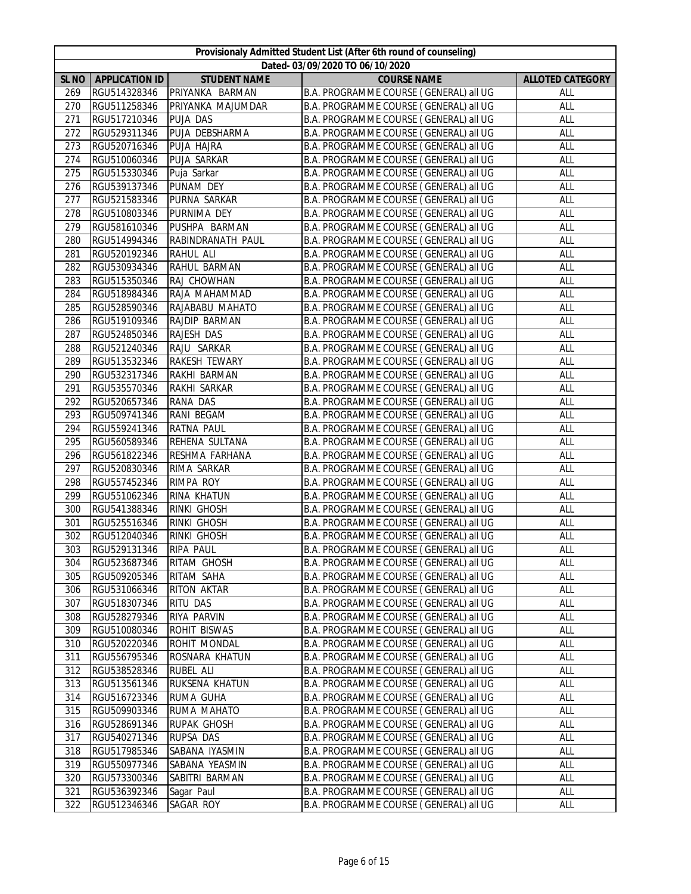|              | Provisionaly Admitted Student List (After 6th round of counseling) |                             |                                                                                  |                         |  |  |
|--------------|--------------------------------------------------------------------|-----------------------------|----------------------------------------------------------------------------------|-------------------------|--|--|
|              |                                                                    |                             | Dated- 03/09/2020 TO 06/10/2020                                                  |                         |  |  |
| <b>SL NO</b> | <b>APPLICATION ID</b>                                              | <b>STUDENT NAME</b>         | <b>COURSE NAME</b>                                                               | <b>ALLOTED CATEGORY</b> |  |  |
| 269          | RGU514328346                                                       | PRIYANKA BARMAN             | B.A. PROGRAMME COURSE (GENERAL) all UG                                           | ALL                     |  |  |
| 270          | RGU511258346                                                       | PRIYANKA MAJUMDAR           | B.A. PROGRAMME COURSE (GENERAL) all UG                                           | ALL                     |  |  |
| 271          | RGU517210346                                                       | PUJA DAS                    | B.A. PROGRAMME COURSE (GENERAL) all UG                                           | ALL                     |  |  |
| 272          | RGU529311346                                                       | PUJA DEBSHARMA              | B.A. PROGRAMME COURSE (GENERAL) all UG                                           | ALL                     |  |  |
| 273          | RGU520716346                                                       | PUJA HAJRA<br>PUJA SARKAR   | B.A. PROGRAMME COURSE (GENERAL) all UG                                           | ALL                     |  |  |
| 274          | RGU510060346                                                       |                             | B.A. PROGRAMME COURSE (GENERAL) all UG                                           | ALL                     |  |  |
| 275          | RGU515330346                                                       | Puja Sarkar<br>PUNAM DEY    | B.A. PROGRAMME COURSE (GENERAL) all UG                                           | ALL                     |  |  |
| 276          | RGU539137346                                                       |                             | B.A. PROGRAMME COURSE (GENERAL) all UG                                           | ALL<br>ALL              |  |  |
| 277<br>278   | RGU521583346<br>RGU510803346                                       | PURNA SARKAR<br>PURNIMA DEY | B.A. PROGRAMME COURSE (GENERAL) all UG<br>B.A. PROGRAMME COURSE (GENERAL) all UG | ALL                     |  |  |
| 279          | RGU581610346                                                       | PUSHPA BARMAN               | B.A. PROGRAMME COURSE (GENERAL) all UG                                           | ALL                     |  |  |
| 280          | RGU514994346                                                       | RABINDRANATH PAUL           | B.A. PROGRAMME COURSE (GENERAL) all UG                                           | ALL                     |  |  |
| 281          | RGU520192346                                                       | RAHUL ALI                   | B.A. PROGRAMME COURSE (GENERAL) all UG                                           | ALL                     |  |  |
| 282          | RGU530934346                                                       | RAHUL BARMAN                | B.A. PROGRAMME COURSE (GENERAL) all UG                                           | ALL                     |  |  |
| 283          | RGU515350346                                                       | RAJ CHOWHAN                 | B.A. PROGRAMME COURSE (GENERAL) all UG                                           | ALL                     |  |  |
| 284          | RGU518984346                                                       | RAJA MAHAMMAD               | B.A. PROGRAMME COURSE (GENERAL) all UG                                           | ALL                     |  |  |
| 285          | RGU528590346                                                       | RAJABABU MAHATO             | B.A. PROGRAMME COURSE (GENERAL) all UG                                           | ALL                     |  |  |
| 286          | RGU519109346                                                       | RAJDIP BARMAN               | B.A. PROGRAMME COURSE (GENERAL) all UG                                           | ALL                     |  |  |
| 287          | RGU524850346                                                       | RAJESH DAS                  | B.A. PROGRAMME COURSE (GENERAL) all UG                                           | ALL                     |  |  |
| 288          | RGU521240346                                                       | RAJU SARKAR                 | B.A. PROGRAMME COURSE (GENERAL) all UG                                           | ALL                     |  |  |
| 289          | RGU513532346                                                       | <b>RAKESH TEWARY</b>        | B.A. PROGRAMME COURSE (GENERAL) all UG                                           | ALL                     |  |  |
| 290          | RGU532317346                                                       | RAKHI BARMAN                | B.A. PROGRAMME COURSE (GENERAL) all UG                                           | ALL                     |  |  |
| 291          | RGU535570346                                                       | RAKHI SARKAR                | B.A. PROGRAMME COURSE (GENERAL) all UG                                           | ALL                     |  |  |
| 292          | RGU520657346                                                       | RANA DAS                    | B.A. PROGRAMME COURSE (GENERAL) all UG                                           | ALL                     |  |  |
| 293          | RGU509741346                                                       | RANI BEGAM                  | B.A. PROGRAMME COURSE (GENERAL) all UG                                           | ALL                     |  |  |
| 294          | RGU559241346                                                       | <b>RATNA PAUL</b>           | B.A. PROGRAMME COURSE (GENERAL) all UG                                           | ALL                     |  |  |
| 295          | RGU560589346                                                       | REHENA SULTANA              | B.A. PROGRAMME COURSE (GENERAL) all UG                                           | ALL                     |  |  |
| 296          | RGU561822346                                                       | RESHMA FARHANA              | B.A. PROGRAMME COURSE (GENERAL) all UG                                           | ALL                     |  |  |
| 297          | RGU520830346                                                       | RIMA SARKAR                 | B.A. PROGRAMME COURSE (GENERAL) all UG                                           | ALL                     |  |  |
| 298          | RGU557452346                                                       | RIMPA ROY                   | B.A. PROGRAMME COURSE (GENERAL) all UG                                           | ALL                     |  |  |
| 299          | RGU551062346                                                       | <b>RINA KHATUN</b>          | B.A. PROGRAMME COURSE (GENERAL) all UG                                           | ALL                     |  |  |
| 300          | RGU541388346                                                       | <b>RINKI GHOSH</b>          | B.A. PROGRAMME COURSE (GENERAL) all UG                                           | ALL                     |  |  |
| 301          | RGU525516346                                                       | <b>RINKI GHOSH</b>          | B.A. PROGRAMME COURSE (GENERAL) all UG                                           | ALL                     |  |  |
| 302          | RGU512040346                                                       | <b>RINKI GHOSH</b>          | B.A. PROGRAMME COURSE (GENERAL) all UG                                           | ALL                     |  |  |
| 303          | RGU529131346                                                       | <b>RIPA PAUL</b>            | B.A. PROGRAMME COURSE (GENERAL) all UG                                           | ALL                     |  |  |
| 304          | RGU523687346                                                       | RITAM GHOSH                 | B.A. PROGRAMME COURSE (GENERAL) all UG                                           | ALL                     |  |  |
| 305          | RGU509205346                                                       | RITAM SAHA                  | B.A. PROGRAMME COURSE (GENERAL) all UG                                           | ALL                     |  |  |
| 306          | RGU531066346                                                       | <b>RITON AKTAR</b>          | B.A. PROGRAMME COURSE (GENERAL) all UG                                           | ALL                     |  |  |
| 307          | RGU518307346                                                       | RITU DAS                    | B.A. PROGRAMME COURSE (GENERAL) all UG                                           | ALL                     |  |  |
| 308          | RGU528279346                                                       | RIYA PARVIN                 | B.A. PROGRAMME COURSE (GENERAL) all UG                                           | ALL                     |  |  |
| 309          | RGU510080346                                                       | ROHIT BISWAS                | B.A. PROGRAMME COURSE (GENERAL) all UG                                           | ALL                     |  |  |
| 310          | RGU520220346                                                       | ROHIT MONDAL                | B.A. PROGRAMME COURSE (GENERAL) all UG                                           | <b>ALL</b>              |  |  |
| 311          | RGU556795346                                                       | ROSNARA KHATUN              | B.A. PROGRAMME COURSE (GENERAL) all UG                                           | <b>ALL</b>              |  |  |
| 312          | RGU538528346                                                       | RUBEL ALI                   | B.A. PROGRAMME COURSE (GENERAL) all UG                                           | <b>ALL</b>              |  |  |
| 313          | RGU513561346                                                       | RUKSENA KHATUN              | B.A. PROGRAMME COURSE (GENERAL) all UG                                           | ALL                     |  |  |
| 314          | RGU516723346                                                       | RUMA GUHA                   | B.A. PROGRAMME COURSE (GENERAL) all UG                                           | ALL                     |  |  |
| 315          | RGU509903346                                                       | RUMA MAHATO                 | B.A. PROGRAMME COURSE (GENERAL) all UG                                           | ALL                     |  |  |
| 316          | RGU528691346                                                       | <b>RUPAK GHOSH</b>          | B.A. PROGRAMME COURSE (GENERAL) all UG                                           | ALL                     |  |  |
| 317          | RGU540271346                                                       | RUPSA DAS                   | B.A. PROGRAMME COURSE (GENERAL) all UG                                           | ALL                     |  |  |
| 318          | RGU517985346                                                       | SABANA IYASMIN              | B.A. PROGRAMME COURSE (GENERAL) all UG                                           | ALL                     |  |  |
| 319          | RGU550977346                                                       | SABANA YEASMIN              | B.A. PROGRAMME COURSE (GENERAL) all UG                                           | ALL                     |  |  |
| 320          | RGU573300346                                                       | SABITRI BARMAN              | B.A. PROGRAMME COURSE (GENERAL) all UG                                           | ALL                     |  |  |
| 321          | RGU536392346                                                       | Sagar Paul                  | B.A. PROGRAMME COURSE (GENERAL) all UG                                           | ALL                     |  |  |
| 322          | RGU512346346                                                       | SAGAR ROY                   | B.A. PROGRAMME COURSE (GENERAL) all UG                                           | ALL                     |  |  |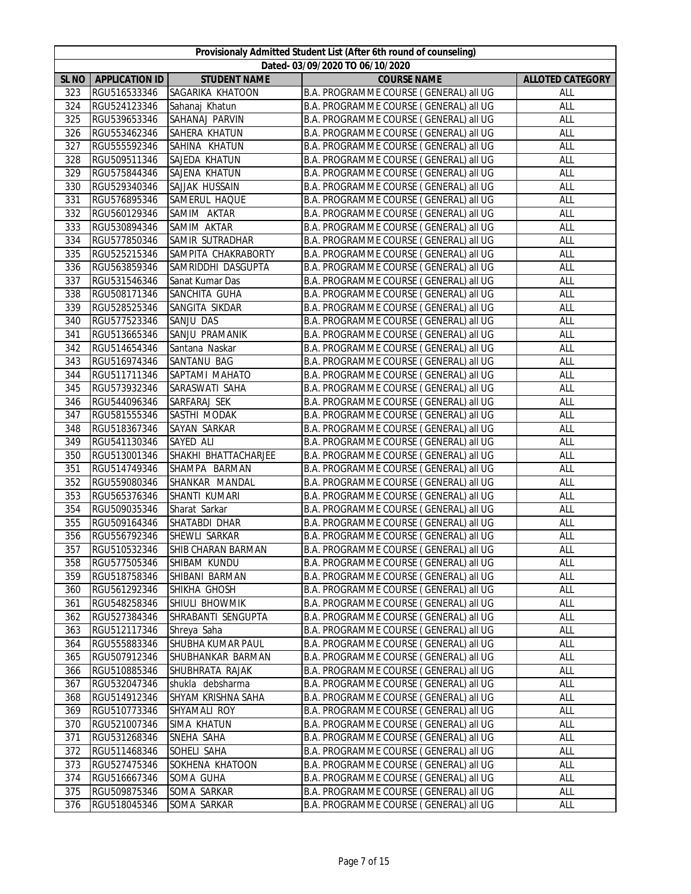|                  | Provisionaly Admitted Student List (After 6th round of counseling) |                                  |                                                                                  |                         |  |  |
|------------------|--------------------------------------------------------------------|----------------------------------|----------------------------------------------------------------------------------|-------------------------|--|--|
|                  | Dated- 03/09/2020 TO 06/10/2020                                    |                                  |                                                                                  |                         |  |  |
| SL <sub>NO</sub> | <b>APPLICATION ID</b>                                              | <b>STUDENT NAME</b>              | <b>COURSE NAME</b>                                                               | <b>ALLOTED CATEGORY</b> |  |  |
| 323              | RGU516533346                                                       | SAGARIKA KHATOON                 | B.A. PROGRAMME COURSE (GENERAL) all UG                                           | ALL                     |  |  |
| 324              | RGU524123346                                                       | Sahanaj Khatun                   | B.A. PROGRAMME COURSE (GENERAL) all UG<br>B.A. PROGRAMME COURSE (GENERAL) all UG | ALL                     |  |  |
| 325              | RGU539653346                                                       | SAHANAJ PARVIN                   |                                                                                  | ALL                     |  |  |
| 326              | RGU553462346                                                       | SAHERA KHATUN                    | B.A. PROGRAMME COURSE (GENERAL) all UG                                           | ALL                     |  |  |
| 327<br>328       | RGU555592346<br>RGU509511346                                       | SAHINA KHATUN<br>SAJEDA KHATUN   | B.A. PROGRAMME COURSE (GENERAL) all UG<br>B.A. PROGRAMME COURSE (GENERAL) all UG | ALL<br>ALL              |  |  |
| 329              | RGU575844346                                                       | SAJENA KHATUN                    | B.A. PROGRAMME COURSE (GENERAL) all UG                                           | ALL                     |  |  |
| 330              |                                                                    | SAJJAK HUSSAIN                   | B.A. PROGRAMME COURSE (GENERAL) all UG                                           | ALL                     |  |  |
| 331              | RGU529340346<br>RGU576895346                                       | SAMERUL HAQUE                    | B.A. PROGRAMME COURSE (GENERAL) all UG                                           | ALL                     |  |  |
| 332              | RGU560129346                                                       | SAMIM AKTAR                      | B.A. PROGRAMME COURSE (GENERAL) all UG                                           | ALL                     |  |  |
| 333              | RGU530894346                                                       | SAMIM AKTAR                      | B.A. PROGRAMME COURSE (GENERAL) all UG                                           | ALL                     |  |  |
| 334              | RGU577850346                                                       | SAMIR SUTRADHAR                  | B.A. PROGRAMME COURSE (GENERAL) all UG                                           | ALL                     |  |  |
| 335              |                                                                    | SAMPITA CHAKRABORTY              | B.A. PROGRAMME COURSE (GENERAL) all UG                                           | ALL                     |  |  |
| 336              | RGU525215346<br>RGU563859346                                       | SAMRIDDHI DASGUPTA               | B.A. PROGRAMME COURSE (GENERAL) all UG                                           | ALL                     |  |  |
| 337              |                                                                    |                                  | B.A. PROGRAMME COURSE (GENERAL) all UG                                           | ALL                     |  |  |
| 338              | RGU531546346<br>RGU508171346                                       | Sanat Kumar Das<br>SANCHITA GUHA | B.A. PROGRAMME COURSE (GENERAL) all UG                                           | ALL                     |  |  |
| 339              | RGU528525346                                                       | SANGITA SIKDAR                   | B.A. PROGRAMME COURSE (GENERAL) all UG                                           | ALL                     |  |  |
| 340              |                                                                    | SANJU DAS                        | B.A. PROGRAMME COURSE (GENERAL) all UG                                           | ALL                     |  |  |
| 341              | RGU577523346<br>RGU513665346                                       | SANJU PRAMANIK                   | B.A. PROGRAMME COURSE (GENERAL) all UG                                           | ALL                     |  |  |
|                  | RGU514654346                                                       | Santana Naskar                   | B.A. PROGRAMME COURSE (GENERAL) all UG                                           | ALL                     |  |  |
| 342              | RGU516974346                                                       |                                  | B.A. PROGRAMME COURSE (GENERAL) all UG                                           | ALL                     |  |  |
| 343              |                                                                    | SANTANU BAG                      |                                                                                  |                         |  |  |
| 344              | RGU511711346                                                       | SAPTAMI MAHATO                   | B.A. PROGRAMME COURSE (GENERAL) all UG                                           | ALL                     |  |  |
| 345              | RGU573932346                                                       | SARASWATI SAHA                   | B.A. PROGRAMME COURSE (GENERAL) all UG                                           | ALL                     |  |  |
| 346              | RGU544096346                                                       | SARFARAJ SEK                     | B.A. PROGRAMME COURSE (GENERAL) all UG                                           | ALL                     |  |  |
| 347              | RGU581555346                                                       | SASTHI MODAK                     | B.A. PROGRAMME COURSE (GENERAL) all UG                                           | ALL                     |  |  |
| 348              | RGU518367346                                                       | SAYAN SARKAR                     | B.A. PROGRAMME COURSE (GENERAL) all UG                                           | ALL                     |  |  |
| 349              | RGU541130346                                                       | SAYED ALI                        | B.A. PROGRAMME COURSE (GENERAL) all UG                                           | ALL                     |  |  |
| 350              | RGU513001346                                                       | SHAKHI BHATTACHARJEE             | B.A. PROGRAMME COURSE (GENERAL) all UG                                           | ALL                     |  |  |
| 351              | RGU514749346                                                       | SHAMPA BARMAN                    | B.A. PROGRAMME COURSE (GENERAL) all UG                                           | ALL                     |  |  |
| 352              | RGU559080346                                                       | SHANKAR MANDAL                   | B.A. PROGRAMME COURSE (GENERAL) all UG                                           | ALL                     |  |  |
| 353              | RGU565376346                                                       | SHANTI KUMARI                    | B.A. PROGRAMME COURSE (GENERAL) all UG                                           | ALL                     |  |  |
| 354              | RGU509035346                                                       | Sharat Sarkar                    | B.A. PROGRAMME COURSE (GENERAL) all UG                                           | ALL                     |  |  |
| 355              | RGU509164346                                                       | SHATABDI DHAR                    | B.A. PROGRAMME COURSE (GENERAL) all UG                                           | ALL                     |  |  |
| 356              | RGU556792346                                                       | SHEWLI SARKAR                    | B.A. PROGRAMME COURSE (GENERAL) all UG                                           | ALL                     |  |  |
| 357              |                                                                    | RGU510532346 SHIB CHARAN BARMAN  | B.A. PROGRAMME COURSE (GENERAL) all UG                                           | ALL                     |  |  |
| 358              | RGU577505346                                                       | SHIBAM KUNDU                     | B.A. PROGRAMME COURSE (GENERAL) all UG                                           | ALL                     |  |  |
| 359              | RGU518758346                                                       | SHIBANI BARMAN                   | B.A. PROGRAMME COURSE (GENERAL) all UG                                           | ALL                     |  |  |
| 360              | RGU561292346                                                       | SHIKHA GHOSH                     | B.A. PROGRAMME COURSE (GENERAL) all UG                                           | ALL                     |  |  |
| 361              | RGU548258346                                                       | SHIULI BHOWMIK                   | B.A. PROGRAMME COURSE (GENERAL) all UG                                           | <b>ALL</b>              |  |  |
| 362              | RGU527384346                                                       | SHRABANTI SENGUPTA               | B.A. PROGRAMME COURSE (GENERAL) all UG                                           | <b>ALL</b>              |  |  |
| 363              | RGU512117346                                                       | Shreya Saha                      | B.A. PROGRAMME COURSE (GENERAL) all UG                                           | ALL                     |  |  |
| 364              | RGU555883346                                                       | SHUBHA KUMAR PAUL                | B.A. PROGRAMME COURSE (GENERAL) all UG                                           | ALL                     |  |  |
| 365              | RGU507912346                                                       | SHUBHANKAR BARMAN                | B.A. PROGRAMME COURSE (GENERAL) all UG                                           | ALL                     |  |  |
| 366              | RGU510885346                                                       | SHUBHRATA RAJAK                  | B.A. PROGRAMME COURSE (GENERAL) all UG                                           | ALL                     |  |  |
| 367              | RGU532047346                                                       | shukla debsharma                 | B.A. PROGRAMME COURSE (GENERAL) all UG                                           | ALL                     |  |  |
| 368              | RGU514912346                                                       | SHYAM KRISHNA SAHA               | B.A. PROGRAMME COURSE (GENERAL) all UG                                           | <b>ALL</b>              |  |  |
| 369              | RGU510773346                                                       | SHYAMALI ROY                     | B.A. PROGRAMME COURSE (GENERAL) all UG                                           | <b>ALL</b>              |  |  |
| 370              | RGU521007346                                                       | SIMA KHATUN                      | B.A. PROGRAMME COURSE (GENERAL) all UG                                           | <b>ALL</b>              |  |  |
| 371              | RGU531268346                                                       | SNEHA SAHA                       | B.A. PROGRAMME COURSE (GENERAL) all UG                                           | <b>ALL</b>              |  |  |
| 372              | RGU511468346                                                       | SOHELI SAHA                      | B.A. PROGRAMME COURSE (GENERAL) all UG                                           | ALL                     |  |  |
| 373              | RGU527475346                                                       | SOKHENA KHATOON                  | B.A. PROGRAMME COURSE (GENERAL) all UG                                           | ALL                     |  |  |
| 374              | RGU516667346                                                       | SOMA GUHA                        | B.A. PROGRAMME COURSE (GENERAL) all UG                                           | ALL                     |  |  |
| 375              | RGU509875346                                                       | SOMA SARKAR                      | B.A. PROGRAMME COURSE (GENERAL) all UG                                           | ALL                     |  |  |
| 376              | RGU518045346                                                       | SOMA SARKAR                      | B.A. PROGRAMME COURSE (GENERAL) all UG                                           | ALL                     |  |  |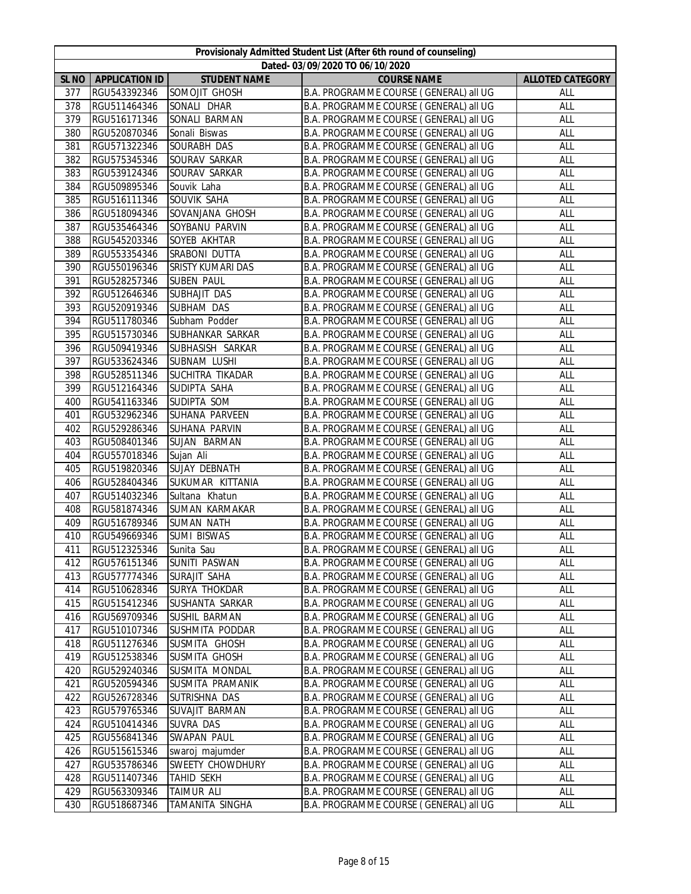| Provisionaly Admitted Student List (After 6th round of counseling) |                                 |                              |                                                                                  |                         |  |  |
|--------------------------------------------------------------------|---------------------------------|------------------------------|----------------------------------------------------------------------------------|-------------------------|--|--|
|                                                                    | Dated- 03/09/2020 TO 06/10/2020 |                              |                                                                                  |                         |  |  |
| <b>SL NO</b>                                                       | <b>APPLICATION ID</b>           | <b>STUDENT NAME</b>          | <b>COURSE NAME</b>                                                               | <b>ALLOTED CATEGORY</b> |  |  |
| 377                                                                | RGU543392346                    | SOMOJIT GHOSH                | B.A. PROGRAMME COURSE (GENERAL) all UG                                           | ALL                     |  |  |
| 378                                                                | RGU511464346                    | SONALI DHAR<br>SONALI BARMAN | B.A. PROGRAMME COURSE (GENERAL) all UG                                           | ALL                     |  |  |
| 379                                                                | RGU516171346<br>RGU520870346    |                              | B.A. PROGRAMME COURSE (GENERAL) all UG                                           | ALL                     |  |  |
| 380                                                                |                                 | Sonali Biswas                | B.A. PROGRAMME COURSE (GENERAL) all UG                                           | ALL                     |  |  |
| 381<br>382                                                         | RGU571322346<br>RGU575345346    | SOURABH DAS<br>SOURAV SARKAR | B.A. PROGRAMME COURSE (GENERAL) all UG<br>B.A. PROGRAMME COURSE (GENERAL) all UG | ALL<br>ALL              |  |  |
| 383                                                                | RGU539124346                    | SOURAV SARKAR                | B.A. PROGRAMME COURSE (GENERAL) all UG                                           | ALL                     |  |  |
| 384                                                                |                                 | Souvik Laha                  | B.A. PROGRAMME COURSE (GENERAL) all UG                                           | ALL                     |  |  |
| 385                                                                | RGU509895346                    | SOUVIK SAHA                  | B.A. PROGRAMME COURSE (GENERAL) all UG                                           | ALL                     |  |  |
| 386                                                                | RGU516111346<br>RGU518094346    | SOVANJANA GHOSH              | B.A. PROGRAMME COURSE (GENERAL) all UG                                           | ALL                     |  |  |
| 387                                                                | RGU535464346                    | SOYBANU PARVIN               | B.A. PROGRAMME COURSE (GENERAL) all UG                                           | ALL                     |  |  |
| 388                                                                | RGU545203346                    | SOYEB AKHTAR                 | B.A. PROGRAMME COURSE (GENERAL) all UG                                           | ALL                     |  |  |
| 389                                                                | RGU553354346                    | SRABONI DUTTA                | B.A. PROGRAMME COURSE (GENERAL) all UG                                           | ALL                     |  |  |
| 390                                                                | RGU550196346                    | <b>SRISTY KUMARI DAS</b>     | B.A. PROGRAMME COURSE (GENERAL) all UG                                           | ALL                     |  |  |
| 391                                                                | RGU528257346                    | <b>SUBEN PAUL</b>            | B.A. PROGRAMME COURSE (GENERAL) all UG                                           | ALL                     |  |  |
| 392                                                                | RGU512646346                    | SUBHAJIT DAS                 | B.A. PROGRAMME COURSE (GENERAL) all UG                                           | ALL                     |  |  |
| 393                                                                | RGU520919346                    | <b>SUBHAM DAS</b>            | B.A. PROGRAMME COURSE (GENERAL) all UG                                           | ALL                     |  |  |
| 394                                                                | RGU511780346                    | Subham Podder                | B.A. PROGRAMME COURSE (GENERAL) all UG                                           | ALL                     |  |  |
| 395                                                                | RGU515730346                    | SUBHANKAR SARKAR             | B.A. PROGRAMME COURSE (GENERAL) all UG                                           | ALL                     |  |  |
| 396                                                                | RGU509419346                    | SUBHASISH SARKAR             | B.A. PROGRAMME COURSE (GENERAL) all UG                                           | ALL                     |  |  |
| 397                                                                | RGU533624346                    | <b>SUBNAM LUSHI</b>          | B.A. PROGRAMME COURSE (GENERAL) all UG                                           | ALL                     |  |  |
| 398                                                                | RGU528511346                    | SUCHITRA TIKADAR             | B.A. PROGRAMME COURSE (GENERAL) all UG                                           | ALL                     |  |  |
| 399                                                                | RGU512164346                    | SUDIPTA SAHA                 | B.A. PROGRAMME COURSE (GENERAL) all UG                                           | ALL                     |  |  |
| 400                                                                | RGU541163346                    | SUDIPTA SOM                  | B.A. PROGRAMME COURSE (GENERAL) all UG                                           | ALL                     |  |  |
| 401                                                                | RGU532962346                    | SUHANA PARVEEN               | B.A. PROGRAMME COURSE (GENERAL) all UG                                           | ALL                     |  |  |
| 402                                                                | RGU529286346                    | SUHANA PARVIN                | B.A. PROGRAMME COURSE (GENERAL) all UG                                           | ALL                     |  |  |
| 403                                                                | RGU508401346                    | <b>SUJAN BARMAN</b>          | B.A. PROGRAMME COURSE (GENERAL) all UG                                           | ALL                     |  |  |
| 404                                                                | RGU557018346                    | Sujan Ali                    | B.A. PROGRAMME COURSE (GENERAL) all UG                                           | ALL                     |  |  |
| 405                                                                | RGU519820346                    | <b>SUJAY DEBNATH</b>         | B.A. PROGRAMME COURSE (GENERAL) all UG                                           | ALL                     |  |  |
| 406                                                                | RGU528404346                    | SUKUMAR KITTANIA             | B.A. PROGRAMME COURSE (GENERAL) all UG                                           | ALL                     |  |  |
| 407                                                                | RGU514032346                    | Sultana Khatun               | B.A. PROGRAMME COURSE (GENERAL) all UG                                           | ALL                     |  |  |
| 408                                                                | RGU581874346                    | SUMAN KARMAKAR               | B.A. PROGRAMME COURSE (GENERAL) all UG                                           | ALL                     |  |  |
| 409                                                                | RGU516789346                    | <b>SUMAN NATH</b>            | B.A. PROGRAMME COURSE (GENERAL) all UG                                           | ALL                     |  |  |
| 410                                                                | RGU549669346                    | <b>SUMI BISWAS</b>           | B.A. PROGRAMME COURSE (GENERAL) all UG                                           | ALL                     |  |  |
| 411                                                                | RGU512325346 Sunita Sau         |                              | B.A. PROGRAMME COURSE (GENERAL) all UG                                           | ALL                     |  |  |
| 412                                                                | RGU576151346                    | SUNITI PASWAN                | B.A. PROGRAMME COURSE (GENERAL) all UG                                           | ALL                     |  |  |
| 413                                                                | RGU577774346                    | SURAJIT SAHA                 | B.A. PROGRAMME COURSE (GENERAL) all UG                                           | ALL                     |  |  |
| 414                                                                | RGU510628346                    | SURYA THOKDAR                | B.A. PROGRAMME COURSE (GENERAL) all UG                                           | ALL                     |  |  |
| 415                                                                | RGU515412346                    | SUSHANTA SARKAR              | B.A. PROGRAMME COURSE (GENERAL) all UG                                           | <b>ALL</b>              |  |  |
| 416                                                                | RGU569709346                    | SUSHIL BARMAN                | B.A. PROGRAMME COURSE (GENERAL) all UG                                           | ALL                     |  |  |
| 417                                                                | RGU510107346                    | SUSHMITA PODDAR              | B.A. PROGRAMME COURSE (GENERAL) all UG                                           | ALL                     |  |  |
| 418                                                                | RGU511276346                    | SUSMITA GHOSH                | B.A. PROGRAMME COURSE (GENERAL) all UG                                           | ALL                     |  |  |
| 419                                                                | RGU512538346                    | SUSMITA GHOSH                | B.A. PROGRAMME COURSE (GENERAL) all UG                                           | ALL                     |  |  |
| 420                                                                | RGU529240346                    | SUSMITA MONDAL               | B.A. PROGRAMME COURSE (GENERAL) all UG                                           | ALL                     |  |  |
| 421                                                                | RGU520594346                    | SUSMITA PRAMANIK             | B.A. PROGRAMME COURSE (GENERAL) all UG                                           | ALL                     |  |  |
| 422                                                                | RGU526728346                    | SUTRISHNA DAS                | B.A. PROGRAMME COURSE (GENERAL) all UG                                           | <b>ALL</b>              |  |  |
| 423                                                                | RGU579765346                    | SUVAJIT BARMAN               | B.A. PROGRAMME COURSE (GENERAL) all UG                                           | <b>ALL</b>              |  |  |
| 424                                                                | RGU510414346                    | SUVRA DAS                    | B.A. PROGRAMME COURSE (GENERAL) all UG                                           | <b>ALL</b>              |  |  |
| 425                                                                | RGU556841346                    | <b>SWAPAN PAUL</b>           | B.A. PROGRAMME COURSE (GENERAL) all UG                                           | <b>ALL</b>              |  |  |
| 426                                                                | RGU515615346                    | swaroj majumder              | B.A. PROGRAMME COURSE (GENERAL) all UG                                           | ALL                     |  |  |
| 427                                                                | RGU535786346                    | SWEETY CHOWDHURY             | B.A. PROGRAMME COURSE (GENERAL) all UG                                           | ALL                     |  |  |
| 428                                                                | RGU511407346                    | <b>TAHID SEKH</b>            | B.A. PROGRAMME COURSE (GENERAL) all UG                                           | ALL                     |  |  |
| 429                                                                | RGU563309346                    | <b>TAIMUR ALI</b>            | B.A. PROGRAMME COURSE (GENERAL) all UG                                           | ALL                     |  |  |
| 430                                                                | RGU518687346                    | TAMANITA SINGHA              | B.A. PROGRAMME COURSE (GENERAL) all UG                                           | ALL                     |  |  |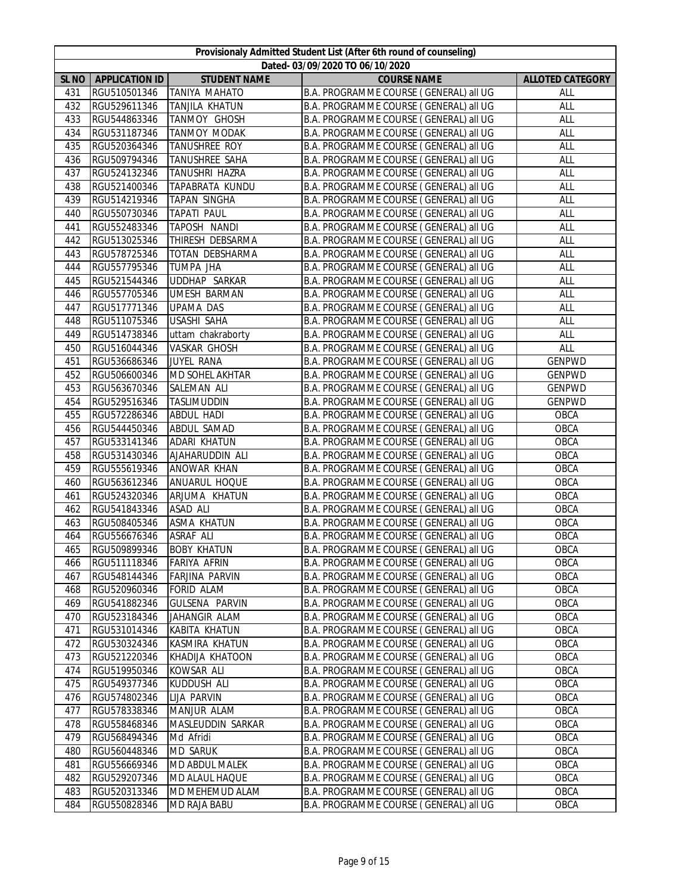|     | Provisionaly Admitted Student List (After 6th round of counseling)<br>Dated- 03/09/2020 TO 06/10/2020         |                        |                                        |               |  |  |
|-----|---------------------------------------------------------------------------------------------------------------|------------------------|----------------------------------------|---------------|--|--|
|     | <b>STUDENT NAME</b><br><b>SL NO</b><br><b>APPLICATION ID</b><br><b>COURSE NAME</b><br><b>ALLOTED CATEGORY</b> |                        |                                        |               |  |  |
| 431 | RGU510501346                                                                                                  | <b>TANIYA MAHATO</b>   | B.A. PROGRAMME COURSE (GENERAL) all UG | ALL           |  |  |
| 432 | RGU529611346                                                                                                  | <b>TANJILA KHATUN</b>  | B.A. PROGRAMME COURSE (GENERAL) all UG | ALL           |  |  |
| 433 | RGU544863346                                                                                                  | <b>TANMOY GHOSH</b>    | B.A. PROGRAMME COURSE (GENERAL) all UG | ALL           |  |  |
| 434 | RGU531187346                                                                                                  | <b>TANMOY MODAK</b>    | B.A. PROGRAMME COURSE (GENERAL) all UG | ALL           |  |  |
| 435 | RGU520364346                                                                                                  | <b>TANUSHREE ROY</b>   | B.A. PROGRAMME COURSE (GENERAL) all UG | ALL           |  |  |
| 436 | RGU509794346                                                                                                  | TANUSHREE SAHA         | B.A. PROGRAMME COURSE (GENERAL) all UG | ALL           |  |  |
| 437 | RGU524132346                                                                                                  | TANUSHRI HAZRA         | B.A. PROGRAMME COURSE (GENERAL) all UG | ALL           |  |  |
| 438 | RGU521400346                                                                                                  | TAPABRATA KUNDU        | B.A. PROGRAMME COURSE (GENERAL) all UG | ALL           |  |  |
| 439 | RGU514219346                                                                                                  | <b>TAPAN SINGHA</b>    | B.A. PROGRAMME COURSE (GENERAL) all UG | ALL           |  |  |
| 440 | RGU550730346                                                                                                  | <b>TAPATI PAUL</b>     | B.A. PROGRAMME COURSE (GENERAL) all UG | ALL           |  |  |
| 441 | RGU552483346                                                                                                  | TAPOSH NANDI           | B.A. PROGRAMME COURSE (GENERAL) all UG | ALL           |  |  |
| 442 | RGU513025346                                                                                                  | THIRESH DEBSARMA       | B.A. PROGRAMME COURSE (GENERAL) all UG | ALL           |  |  |
| 443 | RGU578725346                                                                                                  | TOTAN DEBSHARMA        | B.A. PROGRAMME COURSE (GENERAL) all UG | ALL           |  |  |
| 444 | RGU557795346                                                                                                  | <b>TUMPA JHA</b>       | B.A. PROGRAMME COURSE (GENERAL) all UG | ALL           |  |  |
| 445 | RGU521544346                                                                                                  | UDDHAP SARKAR          | B.A. PROGRAMME COURSE (GENERAL) all UG | ALL           |  |  |
| 446 | RGU557705346                                                                                                  | <b>UMESH BARMAN</b>    | B.A. PROGRAMME COURSE (GENERAL) all UG | ALL           |  |  |
| 447 | RGU517771346                                                                                                  | <b>UPAMA DAS</b>       | B.A. PROGRAMME COURSE (GENERAL) all UG | ALL           |  |  |
| 448 | RGU511075346                                                                                                  | <b>USASHI SAHA</b>     | B.A. PROGRAMME COURSE (GENERAL) all UG | ALL           |  |  |
| 449 | RGU514738346                                                                                                  | uttam chakraborty      | B.A. PROGRAMME COURSE (GENERAL) all UG | ALL           |  |  |
| 450 | RGU516044346                                                                                                  | <b>VASKAR GHOSH</b>    | B.A. PROGRAMME COURSE (GENERAL) all UG | ALL           |  |  |
| 451 | RGU536686346                                                                                                  | <b>JUYEL RANA</b>      | B.A. PROGRAMME COURSE (GENERAL) all UG | <b>GENPWD</b> |  |  |
| 452 | RGU506600346                                                                                                  | <b>MD SOHEL AKHTAR</b> | B.A. PROGRAMME COURSE (GENERAL) all UG | <b>GENPWD</b> |  |  |
| 453 | RGU563670346                                                                                                  | SALEMAN ALI            | B.A. PROGRAMME COURSE (GENERAL) all UG | <b>GENPWD</b> |  |  |
| 454 | RGU529516346                                                                                                  | <b>TASLIMUDDIN</b>     | B.A. PROGRAMME COURSE (GENERAL) all UG | <b>GENPWD</b> |  |  |
| 455 | RGU572286346                                                                                                  | ABDUL HADI             | B.A. PROGRAMME COURSE (GENERAL) all UG | OBCA          |  |  |
| 456 | RGU544450346                                                                                                  | <b>ABDUL SAMAD</b>     | B.A. PROGRAMME COURSE (GENERAL) all UG | OBCA          |  |  |
| 457 | RGU533141346                                                                                                  | <b>ADARI KHATUN</b>    | B.A. PROGRAMME COURSE (GENERAL) all UG | OBCA          |  |  |
| 458 | RGU531430346                                                                                                  | AJAHARUDDIN ALI        | B.A. PROGRAMME COURSE (GENERAL) all UG | OBCA          |  |  |
| 459 | RGU555619346                                                                                                  | ANOWAR KHAN            | B.A. PROGRAMME COURSE (GENERAL) all UG | OBCA          |  |  |
| 460 | RGU563612346                                                                                                  | ANUARUL HOQUE          | B.A. PROGRAMME COURSE (GENERAL) all UG | OBCA          |  |  |
| 461 | RGU524320346                                                                                                  | ARJUMA KHATUN          | B.A. PROGRAMME COURSE (GENERAL) all UG | OBCA          |  |  |
| 462 | RGU541843346                                                                                                  | <b>ASAD ALI</b>        | B.A. PROGRAMME COURSE (GENERAL) all UG | OBCA          |  |  |
| 463 | RGU508405346                                                                                                  | <b>ASMA KHATUN</b>     | B.A. PROGRAMME COURSE (GENERAL) all UG | OBCA          |  |  |
| 464 | RGU556676346                                                                                                  | <b>ASRAF ALI</b>       | B.A. PROGRAMME COURSE (GENERAL) all UG | OBCA          |  |  |
| 465 | RGU509899346                                                                                                  | <b>BOBY KHATUN</b>     | B.A. PROGRAMME COURSE (GENERAL) all UG | OBCA          |  |  |
| 466 | RGU511118346                                                                                                  | FARIYA AFRIN           | B.A. PROGRAMME COURSE (GENERAL) all UG | <b>OBCA</b>   |  |  |
| 467 | RGU548144346                                                                                                  | FARJINA PARVIN         | B.A. PROGRAMME COURSE (GENERAL) all UG | OBCA          |  |  |
| 468 | RGU520960346                                                                                                  | FORID ALAM             | B.A. PROGRAMME COURSE (GENERAL) all UG | OBCA          |  |  |
| 469 | RGU541882346                                                                                                  | GULSENA PARVIN         | B.A. PROGRAMME COURSE (GENERAL) all UG | OBCA          |  |  |
| 470 | RGU523184346                                                                                                  | JAHANGIR ALAM          | B.A. PROGRAMME COURSE (GENERAL) all UG | OBCA          |  |  |
| 471 | RGU531014346                                                                                                  | KABITA KHATUN          | B.A. PROGRAMME COURSE (GENERAL) all UG | OBCA          |  |  |
| 472 | RGU530324346                                                                                                  | KASMIRA KHATUN         | B.A. PROGRAMME COURSE (GENERAL) all UG | OBCA          |  |  |
| 473 | RGU521220346                                                                                                  | KHADIJA KHATOON        | B.A. PROGRAMME COURSE (GENERAL) all UG | OBCA          |  |  |
| 474 | RGU519950346                                                                                                  | KOWSAR ALI             | B.A. PROGRAMME COURSE (GENERAL) all UG | OBCA          |  |  |
| 475 | RGU549377346                                                                                                  | KUDDUSH ALI            | B.A. PROGRAMME COURSE (GENERAL) all UG | OBCA          |  |  |
| 476 | RGU574802346                                                                                                  | LIJA PARVIN            | B.A. PROGRAMME COURSE (GENERAL) all UG | OBCA          |  |  |
| 477 | RGU578338346                                                                                                  | MANJUR ALAM            | B.A. PROGRAMME COURSE (GENERAL) all UG | OBCA          |  |  |
| 478 | RGU558468346                                                                                                  | MASLEUDDIN SARKAR      | B.A. PROGRAMME COURSE (GENERAL) all UG | OBCA          |  |  |
| 479 | RGU568494346                                                                                                  | Md Afridi              | B.A. PROGRAMME COURSE (GENERAL) all UG | OBCA          |  |  |
| 480 | RGU560448346                                                                                                  | <b>MD SARUK</b>        | B.A. PROGRAMME COURSE (GENERAL) all UG | OBCA          |  |  |
| 481 | RGU556669346                                                                                                  | MD ABDUL MALEK         | B.A. PROGRAMME COURSE (GENERAL) all UG | OBCA          |  |  |
| 482 | RGU529207346                                                                                                  | MD ALAUL HAQUE         | B.A. PROGRAMME COURSE (GENERAL) all UG | OBCA          |  |  |
| 483 | RGU520313346                                                                                                  | MD MEHEMUD ALAM        | B.A. PROGRAMME COURSE (GENERAL) all UG | OBCA          |  |  |
| 484 | RGU550828346                                                                                                  | MD RAJA BABU           | B.A. PROGRAMME COURSE (GENERAL) all UG | OBCA          |  |  |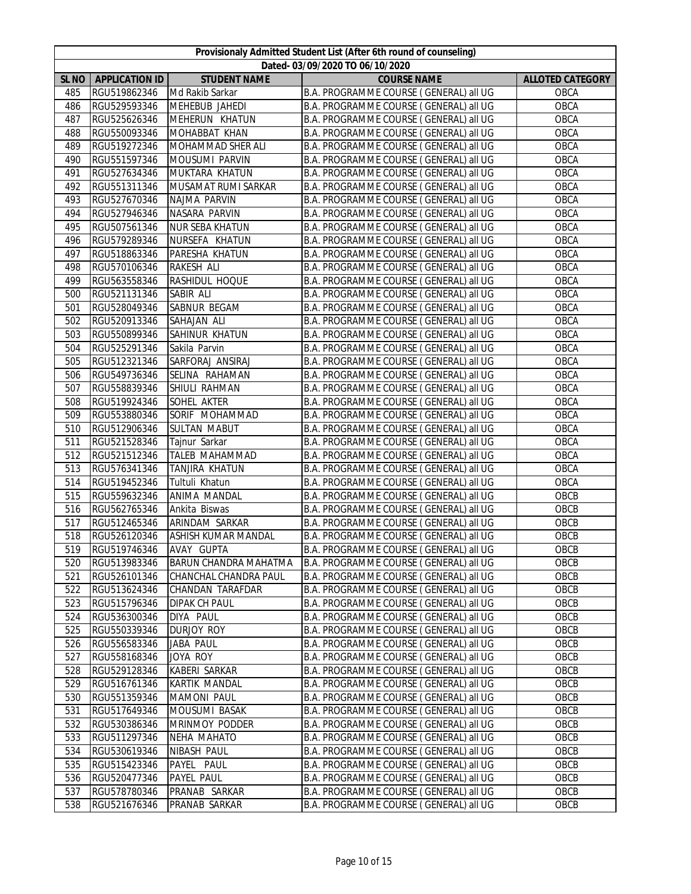|            | Provisionaly Admitted Student List (After 6th round of counseling)                               |                                          |                                                                                  |                         |  |  |
|------------|--------------------------------------------------------------------------------------------------|------------------------------------------|----------------------------------------------------------------------------------|-------------------------|--|--|
|            | Dated- 03/09/2020 TO 06/10/2020<br><b>STUDENT NAME</b><br>SL <sub>NO</sub><br><b>COURSE NAME</b> |                                          |                                                                                  |                         |  |  |
|            | <b>APPLICATION ID</b><br>RGU519862346                                                            |                                          |                                                                                  | <b>ALLOTED CATEGORY</b> |  |  |
| 485<br>486 | RGU529593346                                                                                     | Md Rakib Sarkar<br><b>MEHEBUB JAHEDI</b> | B.A. PROGRAMME COURSE (GENERAL) all UG<br>B.A. PROGRAMME COURSE (GENERAL) all UG | <b>OBCA</b><br>OBCA     |  |  |
| 487        | RGU525626346                                                                                     | MEHERUN KHATUN                           | B.A. PROGRAMME COURSE (GENERAL) all UG                                           | OBCA                    |  |  |
| 488        | RGU550093346                                                                                     | MOHABBAT KHAN                            | B.A. PROGRAMME COURSE (GENERAL) all UG                                           | OBCA                    |  |  |
| 489        | RGU519272346                                                                                     | MOHAMMAD SHER ALI                        | B.A. PROGRAMME COURSE (GENERAL) all UG                                           | OBCA                    |  |  |
| 490        | RGU551597346                                                                                     | MOUSUMI PARVIN                           | B.A. PROGRAMME COURSE (GENERAL) all UG                                           | OBCA                    |  |  |
| 491        | RGU527634346                                                                                     | MUKTARA KHATUN                           | B.A. PROGRAMME COURSE (GENERAL) all UG                                           | OBCA                    |  |  |
| 492        | RGU551311346                                                                                     | MUSAMAT RUMI SARKAR                      | B.A. PROGRAMME COURSE (GENERAL) all UG                                           | OBCA                    |  |  |
| 493        | RGU527670346                                                                                     | NAJMA PARVIN                             | B.A. PROGRAMME COURSE (GENERAL) all UG                                           | OBCA                    |  |  |
| 494        | RGU527946346                                                                                     | NASARA PARVIN                            | B.A. PROGRAMME COURSE (GENERAL) all UG                                           | OBCA                    |  |  |
| 495        | RGU507561346                                                                                     | <b>NUR SEBA KHATUN</b>                   | B.A. PROGRAMME COURSE (GENERAL) all UG                                           | OBCA                    |  |  |
| 496        | RGU579289346                                                                                     | NURSEFA KHATUN                           | B.A. PROGRAMME COURSE (GENERAL) all UG                                           | OBCA                    |  |  |
| 497        | RGU518863346                                                                                     | PARESHA KHATUN                           | B.A. PROGRAMME COURSE (GENERAL) all UG                                           | OBCA                    |  |  |
| 498        | RGU570106346                                                                                     | RAKESH ALI                               | B.A. PROGRAMME COURSE (GENERAL) all UG                                           | OBCA                    |  |  |
| 499        | RGU563558346                                                                                     | RASHIDUL HOQUE                           | B.A. PROGRAMME COURSE (GENERAL) all UG                                           | OBCA                    |  |  |
| 500        | RGU521131346                                                                                     | SABIR ALI                                | B.A. PROGRAMME COURSE (GENERAL) all UG                                           | OBCA                    |  |  |
| 501        | RGU528049346                                                                                     | SABNUR BEGAM                             | B.A. PROGRAMME COURSE (GENERAL) all UG                                           | OBCA                    |  |  |
| 502        | RGU520913346                                                                                     | SAHAJAN ALI                              | B.A. PROGRAMME COURSE (GENERAL) all UG                                           | OBCA                    |  |  |
| 503        | RGU550899346                                                                                     | SAHINUR KHATUN                           | B.A. PROGRAMME COURSE (GENERAL) all UG                                           | OBCA                    |  |  |
| 504        | RGU525291346                                                                                     | Sakila Parvin                            | B.A. PROGRAMME COURSE (GENERAL) all UG                                           | OBCA                    |  |  |
| 505        | RGU512321346                                                                                     | SARFORAJ ANSIRAJ                         | B.A. PROGRAMME COURSE (GENERAL) all UG                                           | OBCA                    |  |  |
| 506        | RGU549736346                                                                                     | SELINA RAHAMAN                           | B.A. PROGRAMME COURSE (GENERAL) all UG                                           | OBCA                    |  |  |
| 507        | RGU558839346                                                                                     | SHIULI RAHMAN                            | B.A. PROGRAMME COURSE (GENERAL) all UG                                           | OBCA                    |  |  |
| 508        | RGU519924346                                                                                     | SOHEL AKTER                              | B.A. PROGRAMME COURSE (GENERAL) all UG                                           | OBCA                    |  |  |
|            |                                                                                                  |                                          |                                                                                  | OBCA                    |  |  |
| 509<br>510 | RGU553880346<br>RGU512906346                                                                     | SORIF MOHAMMAD<br><b>SULTAN MABUT</b>    | B.A. PROGRAMME COURSE (GENERAL) all UG<br>B.A. PROGRAMME COURSE (GENERAL) all UG | OBCA                    |  |  |
| 511        | RGU521528346                                                                                     | Tajnur Sarkar                            | B.A. PROGRAMME COURSE (GENERAL) all UG                                           | OBCA                    |  |  |
| 512        | RGU521512346                                                                                     | <b>TALEB MAHAMMAD</b>                    | B.A. PROGRAMME COURSE (GENERAL) all UG                                           | OBCA                    |  |  |
| 513        | RGU576341346                                                                                     | <b>TANJIRA KHATUN</b>                    | B.A. PROGRAMME COURSE (GENERAL) all UG                                           | OBCA                    |  |  |
| 514        | RGU519452346                                                                                     | Tultuli Khatun                           | B.A. PROGRAMME COURSE (GENERAL) all UG                                           | OBCA                    |  |  |
| 515        | RGU559632346                                                                                     | ANIMA MANDAL                             | B.A. PROGRAMME COURSE (GENERAL) all UG                                           | OBCB                    |  |  |
| 516        | RGU562765346                                                                                     | Ankita Biswas                            | B.A. PROGRAMME COURSE (GENERAL) all UG                                           | OBCB                    |  |  |
| 517        | RGU512465346                                                                                     | ARINDAM SARKAR                           | B.A. PROGRAMME COURSE (GENERAL) all UG                                           | OBCB                    |  |  |
| 518        | RGU526120346                                                                                     | <b>ASHISH KUMAR MANDAL</b>               | B.A. PROGRAMME COURSE (GENERAL) all UG                                           | OBCB                    |  |  |
| 519        | RGU519746346                                                                                     | AVAY GUPTA                               | B.A. PROGRAMME COURSE (GENERAL) all UG                                           | OBCB                    |  |  |
| 520        | RGU513983346                                                                                     | BARUN CHANDRA MAHATMA                    | B.A. PROGRAMME COURSE (GENERAL) all UG                                           | OBCB                    |  |  |
| 521        | RGU526101346                                                                                     | CHANCHAL CHANDRA PAUL                    | B.A. PROGRAMME COURSE (GENERAL) all UG                                           | OBCB                    |  |  |
| 522        | RGU513624346                                                                                     | CHANDAN TARAFDAR                         | B.A. PROGRAMME COURSE (GENERAL) all UG                                           | OBCB                    |  |  |
| 523        | RGU515796346                                                                                     | <b>DIPAK CH PAUL</b>                     | B.A. PROGRAMME COURSE (GENERAL) all UG                                           | OBCB                    |  |  |
| 524        | RGU536300346                                                                                     | DIYA PAUL                                | B.A. PROGRAMME COURSE (GENERAL) all UG                                           | OBCB                    |  |  |
| 525        | RGU550339346                                                                                     | DURJOY ROY                               | B.A. PROGRAMME COURSE (GENERAL) all UG                                           | OBCB                    |  |  |
| 526        | RGU556583346                                                                                     | JABA PAUL                                | B.A. PROGRAMME COURSE (GENERAL) all UG                                           | OBCB                    |  |  |
| 527        | RGU558168346                                                                                     | JOYA ROY                                 | B.A. PROGRAMME COURSE (GENERAL) all UG                                           | OBCB                    |  |  |
| 528        | RGU529128346                                                                                     | KABERI SARKAR                            | B.A. PROGRAMME COURSE (GENERAL) all UG                                           | OBCB                    |  |  |
| 529        | RGU516761346                                                                                     | KARTIK MANDAL                            | B.A. PROGRAMME COURSE (GENERAL) all UG                                           | OBCB                    |  |  |
| 530        | RGU551359346                                                                                     | <b>MAMONI PAUL</b>                       | B.A. PROGRAMME COURSE (GENERAL) all UG                                           | OBCB                    |  |  |
| 531        | RGU517649346                                                                                     | MOUSUMI BASAK                            | B.A. PROGRAMME COURSE (GENERAL) all UG                                           | OBCB                    |  |  |
| 532        | RGU530386346                                                                                     | MRINMOY PODDER                           | B.A. PROGRAMME COURSE (GENERAL) all UG                                           | OBCB                    |  |  |
| 533        | RGU511297346                                                                                     | NEHA MAHATO                              | B.A. PROGRAMME COURSE (GENERAL) all UG                                           | OBCB                    |  |  |
| 534        | RGU530619346                                                                                     | NIBASH PAUL                              | B.A. PROGRAMME COURSE (GENERAL) all UG                                           | OBCB                    |  |  |
| 535        | RGU515423346                                                                                     | PAYEL PAUL                               | B.A. PROGRAMME COURSE (GENERAL) all UG                                           | OBCB                    |  |  |
| 536        | RGU520477346                                                                                     | PAYEL PAUL                               | B.A. PROGRAMME COURSE (GENERAL) all UG                                           | OBCB                    |  |  |
| 537        | RGU578780346                                                                                     | PRANAB SARKAR                            | B.A. PROGRAMME COURSE (GENERAL) all UG                                           | OBCB                    |  |  |
| 538        | RGU521676346                                                                                     | PRANAB SARKAR                            | B.A. PROGRAMME COURSE (GENERAL) all UG                                           | OBCB                    |  |  |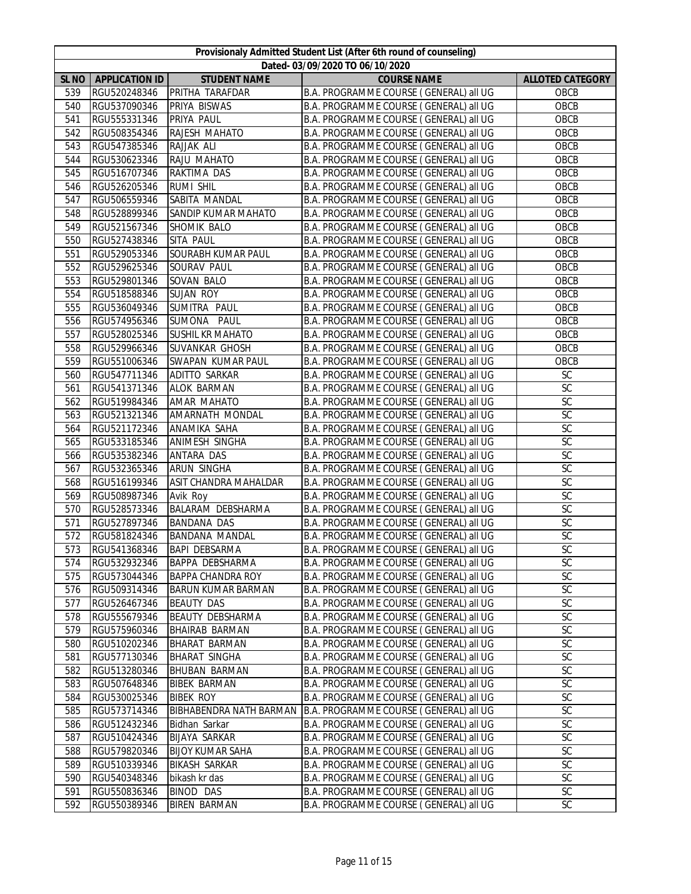|                  | Provisionaly Admitted Student List (After 6th round of counseling) |                                 |                                                                                  |                         |  |  |
|------------------|--------------------------------------------------------------------|---------------------------------|----------------------------------------------------------------------------------|-------------------------|--|--|
|                  |                                                                    |                                 | Dated- 03/09/2020 TO 06/10/2020                                                  |                         |  |  |
| <b>SL NO</b>     | <b>APPLICATION ID</b>                                              | <b>STUDENT NAME</b>             | <b>COURSE NAME</b>                                                               | <b>ALLOTED CATEGORY</b> |  |  |
| 539<br>540       | RGU520248346<br>RGU537090346                                       | PRITHA TARAFDAR<br>PRIYA BISWAS | B.A. PROGRAMME COURSE (GENERAL) all UG<br>B.A. PROGRAMME COURSE (GENERAL) all UG | OBCB<br>OBCB            |  |  |
| 541              | RGU555331346                                                       | PRIYA PAUL                      | B.A. PROGRAMME COURSE (GENERAL) all UG                                           | OBCB                    |  |  |
| 542              | RGU508354346                                                       | RAJESH MAHATO                   | B.A. PROGRAMME COURSE (GENERAL) all UG                                           | OBCB                    |  |  |
| 543              | RGU547385346                                                       | RAJJAK ALI                      | B.A. PROGRAMME COURSE (GENERAL) all UG                                           | OBCB                    |  |  |
| 544              | RGU530623346                                                       | RAJU MAHATO                     | B.A. PROGRAMME COURSE (GENERAL) all UG                                           | OBCB                    |  |  |
| 545              | RGU516707346                                                       | RAKTIMA DAS                     | B.A. PROGRAMME COURSE (GENERAL) all UG                                           | OBCB                    |  |  |
| 546              | RGU526205346                                                       | <b>RUMI SHIL</b>                | B.A. PROGRAMME COURSE (GENERAL) all UG                                           | OBCB                    |  |  |
| 547              | RGU506559346                                                       | SABITA MANDAL                   | B.A. PROGRAMME COURSE (GENERAL) all UG                                           | OBCB                    |  |  |
| 548              | RGU528899346                                                       | SANDIP KUMAR MAHATO             | B.A. PROGRAMME COURSE (GENERAL) all UG                                           | OBCB                    |  |  |
| 549              | RGU521567346                                                       | SHOMIK BALO                     | B.A. PROGRAMME COURSE (GENERAL) all UG                                           | OBCB                    |  |  |
| 550              | RGU527438346                                                       | <b>SITA PAUL</b>                | B.A. PROGRAMME COURSE (GENERAL) all UG                                           | OBCB                    |  |  |
| 551              | RGU529053346                                                       | SOURABH KUMAR PAUL              | B.A. PROGRAMME COURSE (GENERAL) all UG                                           | OBCB                    |  |  |
| 552              | RGU529625346                                                       | SOURAV PAUL                     | B.A. PROGRAMME COURSE (GENERAL) all UG                                           | OBCB                    |  |  |
| 553              | RGU529801346                                                       | <b>SOVAN BALO</b>               | B.A. PROGRAMME COURSE (GENERAL) all UG                                           | OBCB                    |  |  |
| 554              | RGU518588346                                                       | <b>SUJAN ROY</b>                | B.A. PROGRAMME COURSE (GENERAL) all UG                                           | OBCB                    |  |  |
| 555              | RGU536049346                                                       | SUMITRA PAUL                    | B.A. PROGRAMME COURSE (GENERAL) all UG                                           | OBCB                    |  |  |
| 556              | RGU574956346                                                       | SUMONA PAUL                     | B.A. PROGRAMME COURSE (GENERAL) all UG                                           | OBCB                    |  |  |
| 557              | RGU528025346                                                       | <b>SUSHIL KR MAHATO</b>         | B.A. PROGRAMME COURSE (GENERAL) all UG                                           | OBCB                    |  |  |
| 558              | RGU529966346                                                       | <b>SUVANKAR GHOSH</b>           | B.A. PROGRAMME COURSE (GENERAL) all UG                                           | OBCB                    |  |  |
| 559              | RGU551006346                                                       | SWAPAN KUMAR PAUL               | B.A. PROGRAMME COURSE (GENERAL) all UG                                           | OBCB                    |  |  |
| 560              | RGU547711346                                                       | <b>ADITTO SARKAR</b>            | B.A. PROGRAMME COURSE (GENERAL) all UG                                           | <b>SC</b>               |  |  |
| 561              | RGU541371346                                                       | <b>ALOK BARMAN</b>              | B.A. PROGRAMME COURSE (GENERAL) all UG                                           | $\overline{SC}$         |  |  |
| 562              | RGU519984346                                                       | <b>AMAR MAHATO</b>              | B.A. PROGRAMME COURSE (GENERAL) all UG                                           | $\overline{SC}$         |  |  |
| 563              | RGU521321346                                                       | AMARNATH MONDAL                 | B.A. PROGRAMME COURSE (GENERAL) all UG                                           | SC                      |  |  |
| 564              | RGU521172346                                                       | ANAMIKA SAHA                    | B.A. PROGRAMME COURSE (GENERAL) all UG                                           | $\overline{SC}$         |  |  |
| 565              | RGU533185346                                                       | ANIMESH SINGHA                  | B.A. PROGRAMME COURSE (GENERAL) all UG                                           | $\overline{SC}$         |  |  |
| 566              | RGU535382346                                                       | <b>ANTARA DAS</b>               | B.A. PROGRAMME COURSE (GENERAL) all UG                                           | SC                      |  |  |
| 567              | RGU532365346                                                       | ARUN SINGHA                     | B.A. PROGRAMME COURSE (GENERAL) all UG                                           | SC                      |  |  |
| 568              | RGU516199346                                                       | ASIT CHANDRA MAHALDAR           | B.A. PROGRAMME COURSE (GENERAL) all UG                                           | $\overline{SC}$         |  |  |
| 569              | RGU508987346                                                       | Avik Roy                        | B.A. PROGRAMME COURSE (GENERAL) all UG                                           | $\overline{SC}$         |  |  |
| 570              | RGU528573346                                                       | BALARAM DEBSHARMA               | B.A. PROGRAMME COURSE (GENERAL) all UG                                           | SC                      |  |  |
| 571              | RGU527897346                                                       | <b>BANDANA DAS</b>              | B.A. PROGRAMME COURSE (GENERAL) all UG                                           | SC                      |  |  |
| $\overline{572}$ | RGU581824346                                                       | <b>BANDANA MANDAL</b>           | B.A. PROGRAMME COURSE (GENERAL) all UG                                           | $\overline{SC}$         |  |  |
| 573              |                                                                    | RGU541368346 BAPI DEBSARMA      | B.A. PROGRAMME COURSE (GENERAL) all UG                                           | SC                      |  |  |
| 574              | RGU532932346                                                       | <b>BAPPA DEBSHARMA</b>          | B.A. PROGRAMME COURSE (GENERAL) all UG                                           | <b>SC</b>               |  |  |
| 575              | RGU573044346                                                       | <b>BAPPA CHANDRA ROY</b>        | B.A. PROGRAMME COURSE (GENERAL) all UG                                           | SC                      |  |  |
| 576              | RGU509314346                                                       | <b>BARUN KUMAR BARMAN</b>       | B.A. PROGRAMME COURSE (GENERAL) all UG                                           | SC                      |  |  |
| 577              | RGU526467346                                                       | <b>BEAUTY DAS</b>               | B.A. PROGRAMME COURSE (GENERAL) all UG                                           | SC                      |  |  |
| 578              | RGU555679346                                                       | <b>BEAUTY DEBSHARMA</b>         | B.A. PROGRAMME COURSE (GENERAL) all UG                                           | <b>SC</b>               |  |  |
| 579              | RGU575960346                                                       | <b>BHAIRAB BARMAN</b>           | B.A. PROGRAMME COURSE (GENERAL) all UG                                           | <b>SC</b>               |  |  |
| 580              | RGU510202346                                                       | BHARAT BARMAN                   | B.A. PROGRAMME COURSE (GENERAL) all UG                                           | <b>SC</b>               |  |  |
| 581              | RGU577130346                                                       | <b>BHARAT SINGHA</b>            | B.A. PROGRAMME COURSE (GENERAL) all UG                                           | $\mathsf{SC}$           |  |  |
| 582              | RGU513280346                                                       | <b>BHUBAN BARMAN</b>            | B.A. PROGRAMME COURSE (GENERAL) all UG                                           | $\mathsf{SC}$           |  |  |
| 583              | RGU507648346                                                       | <b>BIBEK BARMAN</b>             | B.A. PROGRAMME COURSE (GENERAL) all UG                                           | <b>SC</b>               |  |  |
| 584              | RGU530025346                                                       | <b>BIBEK ROY</b>                | B.A. PROGRAMME COURSE (GENERAL) all UG                                           | SC                      |  |  |
| 585              | RGU573714346                                                       | BIBHABENDRA NATH BARMAN         | B.A. PROGRAMME COURSE (GENERAL) all UG                                           | SC                      |  |  |
| 586              | RGU512432346                                                       | Bidhan Sarkar                   | B.A. PROGRAMME COURSE (GENERAL) all UG                                           | SC                      |  |  |
| 587              | RGU510424346                                                       | <b>BIJAYA SARKAR</b>            | B.A. PROGRAMME COURSE (GENERAL) all UG                                           | SC                      |  |  |
| 588              | RGU579820346                                                       | <b>BIJOY KUMAR SAHA</b>         | B.A. PROGRAMME COURSE (GENERAL) all UG                                           | SC                      |  |  |
| 589              | RGU510339346                                                       | <b>BIKASH SARKAR</b>            | B.A. PROGRAMME COURSE (GENERAL) all UG                                           | SC                      |  |  |
| 590              | RGU540348346                                                       | bikash kr das                   | B.A. PROGRAMME COURSE (GENERAL) all UG                                           | SC                      |  |  |
| 591              | RGU550836346                                                       | BINOD DAS                       | B.A. PROGRAMME COURSE (GENERAL) all UG                                           | SC                      |  |  |
| 592              | RGU550389346                                                       | <b>BIREN BARMAN</b>             | B.A. PROGRAMME COURSE (GENERAL) all UG                                           | SC                      |  |  |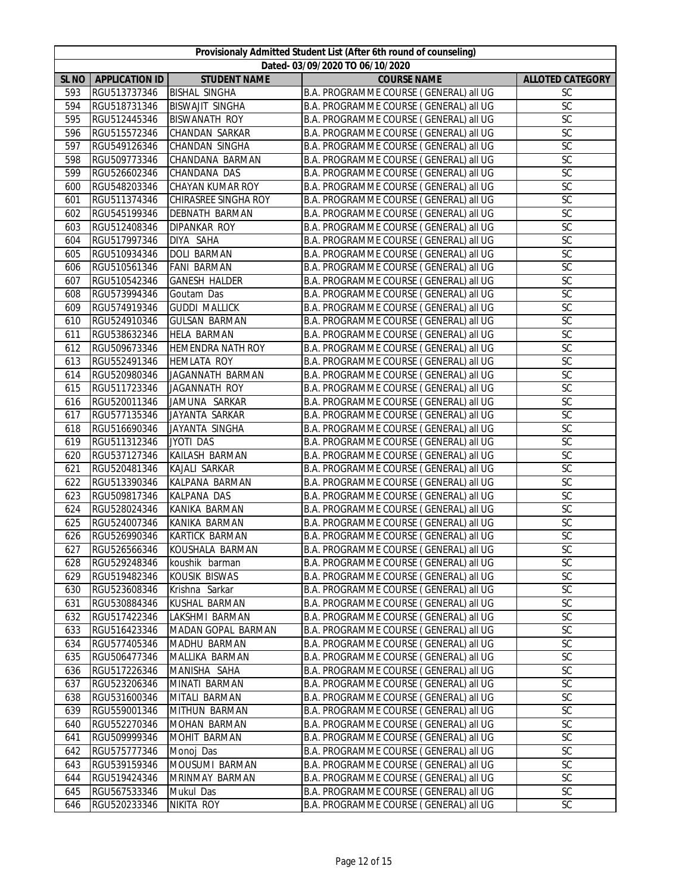|            | Provisionaly Admitted Student List (After 6th round of counseling)                                                                               |                                                |                                                                                  |                       |  |  |
|------------|--------------------------------------------------------------------------------------------------------------------------------------------------|------------------------------------------------|----------------------------------------------------------------------------------|-----------------------|--|--|
|            | Dated- 03/09/2020 TO 06/10/2020<br><b>STUDENT NAME</b><br><b>SL NO</b><br><b>APPLICATION ID</b><br><b>COURSE NAME</b><br><b>ALLOTED CATEGORY</b> |                                                |                                                                                  |                       |  |  |
|            |                                                                                                                                                  |                                                |                                                                                  |                       |  |  |
| 593<br>594 | RGU513737346<br>RGU518731346                                                                                                                     | <b>BISHAL SINGHA</b><br><b>BISWAJIT SINGHA</b> | B.A. PROGRAMME COURSE (GENERAL) all UG<br>B.A. PROGRAMME COURSE (GENERAL) all UG | SC<br>$\overline{SC}$ |  |  |
| 595        | RGU512445346                                                                                                                                     | <b>BISWANATH ROY</b>                           | B.A. PROGRAMME COURSE (GENERAL) all UG                                           | SC                    |  |  |
| 596        | RGU515572346                                                                                                                                     | <b>CHANDAN SARKAR</b>                          | B.A. PROGRAMME COURSE (GENERAL) all UG                                           | $\overline{SC}$       |  |  |
| 597        | RGU549126346                                                                                                                                     | CHANDAN SINGHA                                 | B.A. PROGRAMME COURSE (GENERAL) all UG                                           | $\overline{SC}$       |  |  |
| 598        | RGU509773346                                                                                                                                     | CHANDANA BARMAN                                | B.A. PROGRAMME COURSE (GENERAL) all UG                                           | $\overline{SC}$       |  |  |
| 599        | RGU526602346                                                                                                                                     | CHANDANA DAS                                   | B.A. PROGRAMME COURSE (GENERAL) all UG                                           | $\overline{SC}$       |  |  |
| 600        | RGU548203346                                                                                                                                     | <b>CHAYAN KUMAR ROY</b>                        | B.A. PROGRAMME COURSE (GENERAL) all UG                                           | SC                    |  |  |
| 601        | RGU511374346                                                                                                                                     | CHIRASREE SINGHA ROY                           | B.A. PROGRAMME COURSE (GENERAL) all UG                                           | SC                    |  |  |
| 602        | RGU545199346                                                                                                                                     | DEBNATH BARMAN                                 | B.A. PROGRAMME COURSE (GENERAL) all UG                                           | $\overline{SC}$       |  |  |
| 603        | RGU512408346                                                                                                                                     | <b>DIPANKAR ROY</b>                            | B.A. PROGRAMME COURSE (GENERAL) all UG                                           | SC                    |  |  |
| 604        | RGU517997346                                                                                                                                     | DIYA SAHA                                      | B.A. PROGRAMME COURSE (GENERAL) all UG                                           | SC                    |  |  |
| 605        | RGU510934346                                                                                                                                     | <b>DOLI BARMAN</b>                             | B.A. PROGRAMME COURSE (GENERAL) all UG                                           | SC                    |  |  |
| 606        | RGU510561346                                                                                                                                     | <b>FANI BARMAN</b>                             | B.A. PROGRAMME COURSE (GENERAL) all UG                                           | $\overline{SC}$       |  |  |
| 607        | RGU510542346                                                                                                                                     | <b>GANESH HALDER</b>                           | B.A. PROGRAMME COURSE (GENERAL) all UG                                           | $\overline{SC}$       |  |  |
| 608        | RGU573994346                                                                                                                                     | Goutam Das                                     | B.A. PROGRAMME COURSE (GENERAL) all UG                                           | SC                    |  |  |
| 609        | RGU574919346                                                                                                                                     | <b>GUDDI MALLICK</b>                           | B.A. PROGRAMME COURSE (GENERAL) all UG                                           | SC                    |  |  |
| 610        | RGU524910346                                                                                                                                     | <b>GULSAN BARMAN</b>                           | B.A. PROGRAMME COURSE (GENERAL) all UG                                           | $\overline{SC}$       |  |  |
| 611        | RGU538632346                                                                                                                                     | <b>HELA BARMAN</b>                             | B.A. PROGRAMME COURSE (GENERAL) all UG                                           | $\overline{SC}$       |  |  |
| 612        | RGU509673346                                                                                                                                     | <b>HEMENDRA NATH ROY</b>                       | B.A. PROGRAMME COURSE (GENERAL) all UG                                           | $\overline{SC}$       |  |  |
| 613        | RGU552491346                                                                                                                                     | <b>HEMLATA ROY</b>                             | B.A. PROGRAMME COURSE (GENERAL) all UG                                           | SC                    |  |  |
| 614        | RGU520980346                                                                                                                                     | JAGANNATH BARMAN                               | B.A. PROGRAMME COURSE (GENERAL) all UG                                           | $\overline{SC}$       |  |  |
| 615        | RGU511723346                                                                                                                                     | JAGANNATH ROY                                  | B.A. PROGRAMME COURSE (GENERAL) all UG                                           | SC                    |  |  |
| 616        | RGU520011346                                                                                                                                     | JAMUNA SARKAR                                  | B.A. PROGRAMME COURSE (GENERAL) all UG                                           | SC                    |  |  |
|            |                                                                                                                                                  |                                                |                                                                                  | SC                    |  |  |
| 617<br>618 | RGU577135346<br>RGU516690346                                                                                                                     | JAYANTA SARKAR<br>JAYANTA SINGHA               | B.A. PROGRAMME COURSE (GENERAL) all UG<br>B.A. PROGRAMME COURSE (GENERAL) all UG | SC                    |  |  |
| 619        | RGU511312346                                                                                                                                     | <b>JYOTI DAS</b>                               | B.A. PROGRAMME COURSE (GENERAL) all UG                                           | $\overline{SC}$       |  |  |
| 620        |                                                                                                                                                  | KAILASH BARMAN                                 | B.A. PROGRAMME COURSE (GENERAL) all UG                                           | SC                    |  |  |
| 621        | RGU537127346<br>RGU520481346                                                                                                                     | KAJALI SARKAR                                  | B.A. PROGRAMME COURSE (GENERAL) all UG                                           | SC                    |  |  |
| 622        | RGU513390346                                                                                                                                     | KALPANA BARMAN                                 | B.A. PROGRAMME COURSE (GENERAL) all UG                                           | $\overline{SC}$       |  |  |
| 623        | RGU509817346                                                                                                                                     | <b>KALPANA DAS</b>                             | B.A. PROGRAMME COURSE (GENERAL) all UG                                           | $\overline{SC}$       |  |  |
| 624        | RGU528024346                                                                                                                                     | KANIKA BARMAN                                  | B.A. PROGRAMME COURSE (GENERAL) all UG                                           | SC                    |  |  |
| 625        | RGU524007346                                                                                                                                     | KANIKA BARMAN                                  | B.A. PROGRAMME COURSE (GENERAL) all UG                                           | SC                    |  |  |
| 626        | RGU526990346                                                                                                                                     | <b>KARTICK BARMAN</b>                          | B.A. PROGRAMME COURSE (GENERAL) all UG                                           | $\overline{SC}$       |  |  |
| 627        |                                                                                                                                                  | RGU526566346 KOUSHALA BARMAN                   | B.A. PROGRAMME COURSE (GENERAL) all UG                                           | SC                    |  |  |
|            |                                                                                                                                                  |                                                | B.A. PROGRAMME COURSE (GENERAL) all UG                                           | <b>SC</b>             |  |  |
| 628<br>629 | RGU529248346<br>RGU519482346                                                                                                                     | koushik barman<br>KOUSIK BISWAS                |                                                                                  | SC                    |  |  |
| 630        | RGU523608346                                                                                                                                     | Krishna Sarkar                                 | B.A. PROGRAMME COURSE (GENERAL) all UG<br>B.A. PROGRAMME COURSE (GENERAL) all UG | SC                    |  |  |
|            |                                                                                                                                                  | KUSHAL BARMAN                                  | B.A. PROGRAMME COURSE (GENERAL) all UG                                           | SC                    |  |  |
| 631<br>632 | RGU530884346<br>RGU517422346                                                                                                                     | LAKSHMI BARMAN                                 | B.A. PROGRAMME COURSE (GENERAL) all UG                                           | SC                    |  |  |
| 633        | RGU516423346                                                                                                                                     | MADAN GOPAL BARMAN                             | B.A. PROGRAMME COURSE (GENERAL) all UG                                           | SC                    |  |  |
| 634        | RGU577405346                                                                                                                                     | MADHU BARMAN                                   | B.A. PROGRAMME COURSE (GENERAL) all UG                                           | SC                    |  |  |
| 635        | RGU506477346                                                                                                                                     | MALLIKA BARMAN                                 | B.A. PROGRAMME COURSE (GENERAL) all UG                                           | $\mathsf{SC}$         |  |  |
| 636        | RGU517226346                                                                                                                                     | MANISHA SAHA                                   | B.A. PROGRAMME COURSE (GENERAL) all UG                                           | SC                    |  |  |
| 637        | RGU523206346                                                                                                                                     | MINATI BARMAN                                  | B.A. PROGRAMME COURSE (GENERAL) all UG                                           | SC                    |  |  |
| 638        | RGU531600346                                                                                                                                     | MITALI BARMAN                                  | B.A. PROGRAMME COURSE (GENERAL) all UG                                           | SC                    |  |  |
| 639        | RGU559001346                                                                                                                                     | MITHUN BARMAN                                  | B.A. PROGRAMME COURSE (GENERAL) all UG                                           | SC                    |  |  |
| 640        | RGU552270346                                                                                                                                     | MOHAN BARMAN                                   | B.A. PROGRAMME COURSE (GENERAL) all UG                                           | SC                    |  |  |
| 641        | RGU509999346                                                                                                                                     | MOHIT BARMAN                                   | B.A. PROGRAMME COURSE (GENERAL) all UG                                           | SC                    |  |  |
| 642        | RGU575777346                                                                                                                                     | Monoj Das                                      | B.A. PROGRAMME COURSE (GENERAL) all UG                                           | SC                    |  |  |
| 643        | RGU539159346                                                                                                                                     | MOUSUMI BARMAN                                 | B.A. PROGRAMME COURSE (GENERAL) all UG                                           | SC                    |  |  |
| 644        | RGU519424346                                                                                                                                     | MRINMAY BARMAN                                 | B.A. PROGRAMME COURSE (GENERAL) all UG                                           | SC                    |  |  |
| 645        | RGU567533346                                                                                                                                     | Mukul Das                                      | B.A. PROGRAMME COURSE (GENERAL) all UG                                           | SC                    |  |  |
| 646        | RGU520233346                                                                                                                                     | NIKITA ROY                                     | B.A. PROGRAMME COURSE (GENERAL) all UG                                           | SC                    |  |  |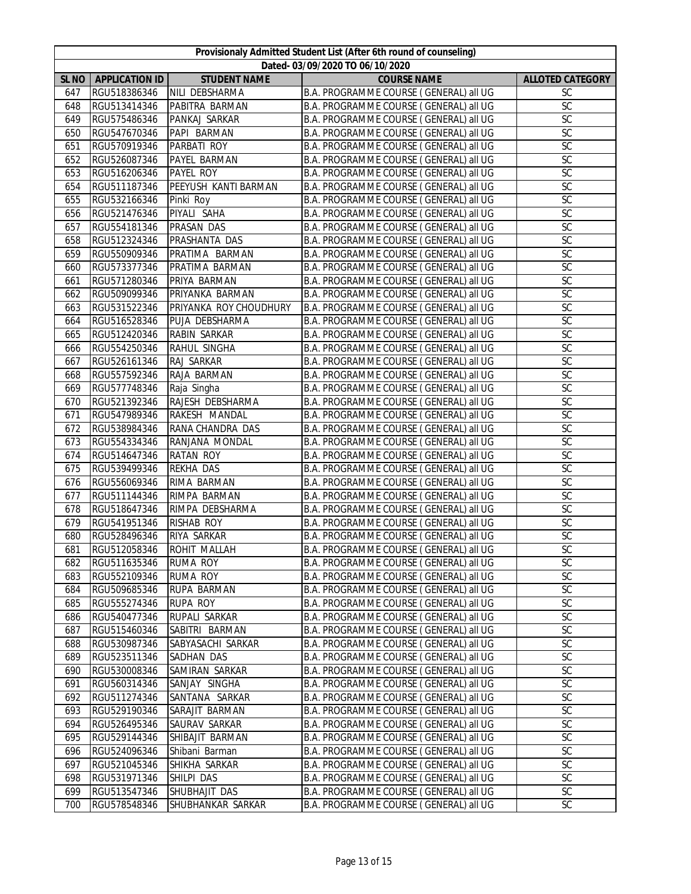| Provisionaly Admitted Student List (After 6th round of counseling) |                              |                             |                                                                                  |                              |  |  |  |
|--------------------------------------------------------------------|------------------------------|-----------------------------|----------------------------------------------------------------------------------|------------------------------|--|--|--|
| Dated- 03/09/2020 TO 06/10/2020                                    |                              |                             |                                                                                  |                              |  |  |  |
| <b>SL NO</b>                                                       | <b>APPLICATION ID</b>        | <b>STUDENT NAME</b>         | <b>COURSE NAME</b>                                                               | <b>ALLOTED CATEGORY</b>      |  |  |  |
| 647                                                                | RGU518386346                 | NILI DEBSHARMA              | B.A. PROGRAMME COURSE (GENERAL) all UG                                           | <b>SC</b><br>$\overline{SC}$ |  |  |  |
| 648                                                                | RGU513414346                 | PABITRA BARMAN              | B.A. PROGRAMME COURSE (GENERAL) all UG                                           | SC                           |  |  |  |
| 649                                                                | RGU575486346<br>RGU547670346 | PANKAJ SARKAR               | B.A. PROGRAMME COURSE (GENERAL) all UG                                           | $\overline{SC}$              |  |  |  |
| 650                                                                |                              | PAPI BARMAN                 | B.A. PROGRAMME COURSE (GENERAL) all UG                                           | $\overline{SC}$              |  |  |  |
| 651<br>652                                                         | RGU570919346<br>RGU526087346 | PARBATI ROY<br>PAYEL BARMAN | B.A. PROGRAMME COURSE (GENERAL) all UG<br>B.A. PROGRAMME COURSE (GENERAL) all UG | $\overline{SC}$              |  |  |  |
| 653                                                                | RGU516206346                 | PAYEL ROY                   | B.A. PROGRAMME COURSE (GENERAL) all UG                                           | $\overline{SC}$              |  |  |  |
| 654                                                                |                              | PEEYUSH KANTI BARMAN        | B.A. PROGRAMME COURSE (GENERAL) all UG                                           | SC                           |  |  |  |
| 655                                                                | RGU511187346<br>RGU532166346 | Pinki Roy                   | B.A. PROGRAMME COURSE (GENERAL) all UG                                           | SC                           |  |  |  |
| 656                                                                | RGU521476346                 | PIYALI SAHA                 | B.A. PROGRAMME COURSE (GENERAL) all UG                                           | $\overline{SC}$              |  |  |  |
| 657                                                                | RGU554181346                 | PRASAN DAS                  | B.A. PROGRAMME COURSE (GENERAL) all UG                                           | SC                           |  |  |  |
| 658                                                                | RGU512324346                 | PRASHANTA DAS               | B.A. PROGRAMME COURSE (GENERAL) all UG                                           | SC                           |  |  |  |
| 659                                                                | RGU550909346                 | PRATIMA BARMAN              | B.A. PROGRAMME COURSE (GENERAL) all UG                                           | SC                           |  |  |  |
| 660                                                                | RGU573377346                 | PRATIMA BARMAN              | B.A. PROGRAMME COURSE (GENERAL) all UG                                           | $\overline{SC}$              |  |  |  |
| 661                                                                | RGU571280346                 | PRIYA BARMAN                | B.A. PROGRAMME COURSE (GENERAL) all UG                                           | $\overline{SC}$              |  |  |  |
| 662                                                                | RGU509099346                 | PRIYANKA BARMAN             | B.A. PROGRAMME COURSE (GENERAL) all UG                                           | SC                           |  |  |  |
| 663                                                                | RGU531522346                 | PRIYANKA ROY CHOUDHURY      | B.A. PROGRAMME COURSE (GENERAL) all UG                                           | SC                           |  |  |  |
| 664                                                                | RGU516528346                 | PUJA DEBSHARMA              | B.A. PROGRAMME COURSE (GENERAL) all UG                                           | $\overline{SC}$              |  |  |  |
| 665                                                                | RGU512420346                 | <b>RABIN SARKAR</b>         | B.A. PROGRAMME COURSE (GENERAL) all UG                                           | $\overline{SC}$              |  |  |  |
| 666                                                                | RGU554250346                 | RAHUL SINGHA                | B.A. PROGRAMME COURSE (GENERAL) all UG                                           | $\overline{SC}$              |  |  |  |
| 667                                                                | RGU526161346                 | RAJ SARKAR                  | B.A. PROGRAMME COURSE (GENERAL) all UG                                           | SC                           |  |  |  |
| 668                                                                | RGU557592346                 | RAJA BARMAN                 | B.A. PROGRAMME COURSE (GENERAL) all UG                                           | $\overline{SC}$              |  |  |  |
| 669                                                                | RGU577748346                 | Raja Singha                 | B.A. PROGRAMME COURSE (GENERAL) all UG                                           | SC                           |  |  |  |
| 670                                                                | RGU521392346                 | RAJESH DEBSHARMA            | B.A. PROGRAMME COURSE (GENERAL) all UG                                           | SC                           |  |  |  |
| 671                                                                | RGU547989346                 | RAKESH MANDAL               | B.A. PROGRAMME COURSE (GENERAL) all UG                                           | SC                           |  |  |  |
| 672                                                                | RGU538984346                 | RANA CHANDRA DAS            | B.A. PROGRAMME COURSE (GENERAL) all UG                                           | $\overline{SC}$              |  |  |  |
| 673                                                                | RGU554334346                 | RANJANA MONDAL              | B.A. PROGRAMME COURSE (GENERAL) all UG                                           | $\overline{SC}$              |  |  |  |
| 674                                                                | RGU514647346                 | <b>RATAN ROY</b>            | B.A. PROGRAMME COURSE (GENERAL) all UG                                           | SC                           |  |  |  |
| 675                                                                | RGU539499346                 | <b>REKHA DAS</b>            | B.A. PROGRAMME COURSE (GENERAL) all UG                                           | SC                           |  |  |  |
| 676                                                                | RGU556069346                 | RIMA BARMAN                 | B.A. PROGRAMME COURSE (GENERAL) all UG                                           | $\overline{SC}$              |  |  |  |
| 677                                                                | RGU511144346                 | RIMPA BARMAN                | B.A. PROGRAMME COURSE (GENERAL) all UG                                           | $\overline{SC}$              |  |  |  |
| 678                                                                | RGU518647346                 | RIMPA DEBSHARMA             | B.A. PROGRAMME COURSE (GENERAL) all UG                                           | SC                           |  |  |  |
| 679                                                                | RGU541951346                 | <b>RISHAB ROY</b>           | B.A. PROGRAMME COURSE (GENERAL) all UG                                           | SC                           |  |  |  |
| 680                                                                | RGU528496346                 | RIYA SARKAR                 | B.A. PROGRAMME COURSE (GENERAL) all UG                                           | $\overline{SC}$              |  |  |  |
| 681                                                                | RGU512058346                 | <b>ROHIT MALLAH</b>         | B.A. PROGRAMME COURSE (GENERAL) all UG                                           | SC                           |  |  |  |
| 682                                                                | RGU511635346                 | RUMA ROY                    | B.A. PROGRAMME COURSE (GENERAL) all UG                                           | <b>SC</b>                    |  |  |  |
| 683                                                                | RGU552109346                 | <b>RUMA ROY</b>             | B.A. PROGRAMME COURSE (GENERAL) all UG                                           | SC                           |  |  |  |
| 684                                                                | RGU509685346                 | RUPA BARMAN                 | B.A. PROGRAMME COURSE (GENERAL) all UG                                           | SC                           |  |  |  |
| 685                                                                | RGU555274346                 | RUPA ROY                    | B.A. PROGRAMME COURSE (GENERAL) all UG                                           | SC                           |  |  |  |
| 686                                                                | RGU540477346                 | RUPALI SARKAR               | B.A. PROGRAMME COURSE (GENERAL) all UG                                           | SC                           |  |  |  |
| 687                                                                | RGU515460346                 | SABITRI BARMAN              | B.A. PROGRAMME COURSE (GENERAL) all UG                                           | SC                           |  |  |  |
| 688                                                                | RGU530987346                 | SABYASACHI SARKAR           | B.A. PROGRAMME COURSE (GENERAL) all UG                                           | SC                           |  |  |  |
| 689                                                                | RGU523511346                 | SADHAN DAS                  | B.A. PROGRAMME COURSE (GENERAL) all UG                                           | SC                           |  |  |  |
| 690                                                                | RGU530008346                 | SAMIRAN SARKAR              | B.A. PROGRAMME COURSE (GENERAL) all UG                                           | SC                           |  |  |  |
| 691                                                                | RGU560314346                 | SANJAY SINGHA               | B.A. PROGRAMME COURSE (GENERAL) all UG                                           | SC                           |  |  |  |
| 692                                                                | RGU511274346                 | SANTANA SARKAR              | B.A. PROGRAMME COURSE (GENERAL) all UG                                           | SC                           |  |  |  |
| 693                                                                | RGU529190346                 | SARAJIT BARMAN              | B.A. PROGRAMME COURSE (GENERAL) all UG                                           | SC                           |  |  |  |
| 694                                                                | RGU526495346                 | SAURAV SARKAR               | B.A. PROGRAMME COURSE (GENERAL) all UG                                           | SC                           |  |  |  |
| 695                                                                | RGU529144346                 | SHIBAJIT BARMAN             | B.A. PROGRAMME COURSE (GENERAL) all UG                                           | SC                           |  |  |  |
| 696                                                                | RGU524096346                 | Shibani Barman              | B.A. PROGRAMME COURSE (GENERAL) all UG                                           | SC                           |  |  |  |
| 697                                                                | RGU521045346                 | SHIKHA SARKAR               | B.A. PROGRAMME COURSE (GENERAL) all UG                                           | SC                           |  |  |  |
| 698                                                                | RGU531971346                 | SHILPI DAS                  | B.A. PROGRAMME COURSE (GENERAL) all UG                                           | SC                           |  |  |  |
| 699                                                                | RGU513547346                 | SHUBHAJIT DAS               | B.A. PROGRAMME COURSE (GENERAL) all UG                                           | SC                           |  |  |  |
| 700                                                                | RGU578548346                 | SHUBHANKAR SARKAR           | B.A. PROGRAMME COURSE (GENERAL) all UG                                           | SC                           |  |  |  |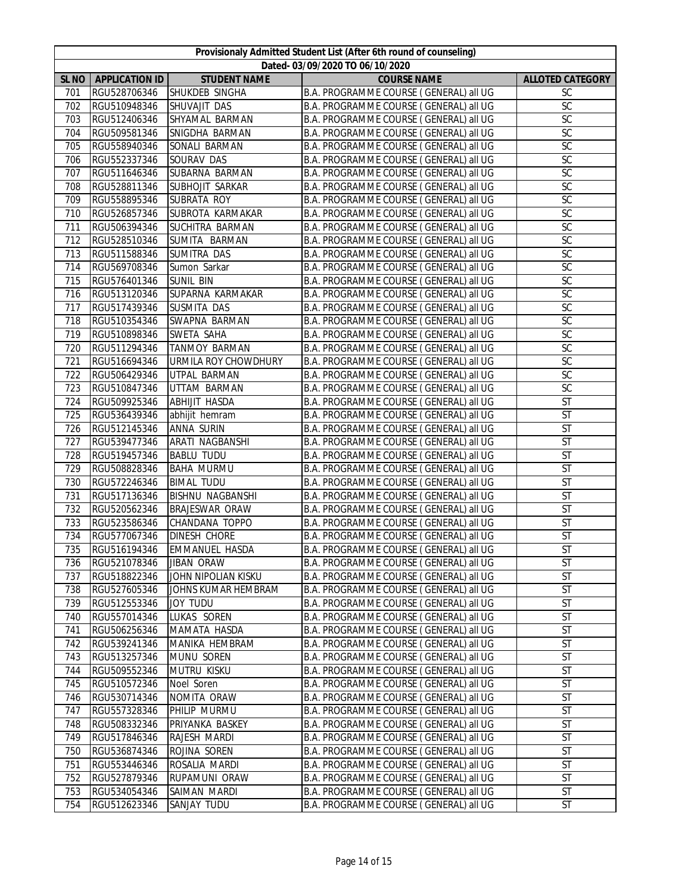| Provisionaly Admitted Student List (After 6th round of counseling) |                       |                             |                                                                                  |                         |  |  |  |
|--------------------------------------------------------------------|-----------------------|-----------------------------|----------------------------------------------------------------------------------|-------------------------|--|--|--|
| Dated- 03/09/2020 TO 06/10/2020                                    |                       |                             |                                                                                  |                         |  |  |  |
| <b>SL NO</b>                                                       | <b>APPLICATION ID</b> | <b>STUDENT NAME</b>         | <b>COURSE NAME</b>                                                               | <b>ALLOTED CATEGORY</b> |  |  |  |
| 701<br>702                                                         | RGU528706346          | SHUKDEB SINGHA              | B.A. PROGRAMME COURSE (GENERAL) all UG<br>B.A. PROGRAMME COURSE (GENERAL) all UG | SC<br>$\overline{SC}$   |  |  |  |
|                                                                    | RGU510948346          | SHUVAJIT DAS                |                                                                                  | SC                      |  |  |  |
| 703                                                                | RGU512406346          | SHYAMAL BARMAN              | B.A. PROGRAMME COURSE (GENERAL) all UG                                           | $\overline{SC}$         |  |  |  |
| 704                                                                | RGU509581346          | SNIGDHA BARMAN              | B.A. PROGRAMME COURSE (GENERAL) all UG                                           | $\overline{SC}$         |  |  |  |
| 705                                                                | RGU558940346          | SONALI BARMAN               | B.A. PROGRAMME COURSE (GENERAL) all UG                                           | $\overline{SC}$         |  |  |  |
| 706                                                                | RGU552337346          | SOURAV DAS                  | B.A. PROGRAMME COURSE (GENERAL) all UG<br>B.A. PROGRAMME COURSE (GENERAL) all UG | $\overline{SC}$         |  |  |  |
| 707                                                                | RGU511646346          | SUBARNA BARMAN              |                                                                                  |                         |  |  |  |
| 708                                                                | RGU528811346          | SUBHOJIT SARKAR             | B.A. PROGRAMME COURSE (GENERAL) all UG                                           | SC                      |  |  |  |
| 709                                                                | RGU558895346          | SUBRATA ROY                 | B.A. PROGRAMME COURSE (GENERAL) all UG                                           | SC                      |  |  |  |
| 710                                                                | RGU526857346          | SUBROTA KARMAKAR            | B.A. PROGRAMME COURSE (GENERAL) all UG                                           | SC                      |  |  |  |
| 711                                                                | RGU506394346          | SUCHITRA BARMAN             | B.A. PROGRAMME COURSE (GENERAL) all UG                                           | $\overline{SC}$         |  |  |  |
| 712                                                                | RGU528510346          | SUMITA BARMAN               | B.A. PROGRAMME COURSE (GENERAL) all UG                                           | SC                      |  |  |  |
| 713                                                                | RGU511588346          | SUMITRA DAS                 | B.A. PROGRAMME COURSE (GENERAL) all UG                                           | SC                      |  |  |  |
| 714                                                                | RGU569708346          | Sumon Sarkar                | B.A. PROGRAMME COURSE (GENERAL) all UG                                           | $\overline{SC}$         |  |  |  |
| 715                                                                | RGU576401346          | <b>SUNIL BIN</b>            | B.A. PROGRAMME COURSE (GENERAL) all UG                                           | $\overline{SC}$         |  |  |  |
| 716                                                                | RGU513120346          | SUPARNA KARMAKAR            | B.A. PROGRAMME COURSE (GENERAL) all UG                                           | SC                      |  |  |  |
| 717                                                                | RGU517439346          | <b>SUSMITA DAS</b>          | B.A. PROGRAMME COURSE (GENERAL) all UG                                           | SC                      |  |  |  |
| 718                                                                | RGU510354346          | SWAPNA BARMAN               | B.A. PROGRAMME COURSE (GENERAL) all UG                                           | $\overline{SC}$         |  |  |  |
| 719                                                                | RGU510898346          | SWETA SAHA                  | B.A. PROGRAMME COURSE (GENERAL) all UG                                           | $\overline{SC}$         |  |  |  |
| 720                                                                | RGU511294346          | <b>TANMOY BARMAN</b>        | B.A. PROGRAMME COURSE (GENERAL) all UG                                           | $\overline{SC}$         |  |  |  |
| 721                                                                | RGU516694346          | <b>URMILA ROY CHOWDHURY</b> | B.A. PROGRAMME COURSE (GENERAL) all UG                                           | $\overline{SC}$         |  |  |  |
| 722                                                                | RGU506429346          | UTPAL BARMAN                | B.A. PROGRAMME COURSE (GENERAL) all UG                                           | SC                      |  |  |  |
| 723                                                                | RGU510847346          | UTTAM BARMAN                | B.A. PROGRAMME COURSE (GENERAL) all UG                                           | $\overline{SC}$         |  |  |  |
| 724                                                                | RGU509925346          | <b>ABHIJIT HASDA</b>        | B.A. PROGRAMME COURSE (GENERAL) all UG                                           | <b>ST</b>               |  |  |  |
| 725                                                                | RGU536439346          | abhijit hemram              | B.A. PROGRAMME COURSE (GENERAL) all UG                                           | <b>ST</b>               |  |  |  |
| 726                                                                | RGU512145346          | <b>ANNA SURIN</b>           | B.A. PROGRAMME COURSE (GENERAL) all UG                                           | $\overline{\text{ST}}$  |  |  |  |
| 727                                                                | RGU539477346          | ARATI NAGBANSHI             | B.A. PROGRAMME COURSE (GENERAL) all UG                                           | $\overline{\text{ST}}$  |  |  |  |
| 728                                                                | RGU519457346          | <b>BABLU TUDU</b>           | B.A. PROGRAMME COURSE (GENERAL) all UG                                           | <b>ST</b>               |  |  |  |
| 729                                                                | RGU508828346          | <b>BAHA MURMU</b>           | B.A. PROGRAMME COURSE (GENERAL) all UG                                           | <b>ST</b>               |  |  |  |
| 730                                                                | RGU572246346          | <b>BIMAL TUDU</b>           | B.A. PROGRAMME COURSE (GENERAL) all UG                                           | <b>ST</b>               |  |  |  |
| 731                                                                | RGU517136346          | <b>BISHNU NAGBANSHI</b>     | B.A. PROGRAMME COURSE (GENERAL) all UG                                           | $\overline{\text{ST}}$  |  |  |  |
| 732                                                                | RGU520562346          | <b>BRAJESWAR ORAW</b>       | B.A. PROGRAMME COURSE (GENERAL) all UG                                           | <b>ST</b>               |  |  |  |
| 733                                                                | RGU523586346          | CHANDANA TOPPO              | B.A. PROGRAMME COURSE (GENERAL) all UG                                           | <b>ST</b>               |  |  |  |
| 734                                                                | RGU577067346          | <b>DINESH CHORE</b>         | B.A. PROGRAMME COURSE (GENERAL) all UG                                           | $\overline{\text{ST}}$  |  |  |  |
| 735                                                                | RGU516194346          | <b>EMMANUEL HASDA</b>       | B.A. PROGRAMME COURSE (GENERAL) all UG                                           | $\overline{\text{ST}}$  |  |  |  |
| 736                                                                | RGU521078346          | JIBAN ORAW                  | B.A. PROGRAMME COURSE (GENERAL) all UG                                           | <b>ST</b>               |  |  |  |
| 737                                                                | RGU518822346          | JOHN NIPOLIAN KISKU         | B.A. PROGRAMME COURSE (GENERAL) all UG                                           | ST                      |  |  |  |
| 738                                                                | RGU527605346          | JOHNS KUMAR HEMBRAM         | B.A. PROGRAMME COURSE (GENERAL) all UG                                           | <b>ST</b>               |  |  |  |
| 739                                                                | RGU512553346          | JOY TUDU                    | B.A. PROGRAMME COURSE (GENERAL) all UG                                           | <b>ST</b>               |  |  |  |
| 740                                                                | RGU557014346          | LUKAS SOREN                 | B.A. PROGRAMME COURSE (GENERAL) all UG                                           | ST                      |  |  |  |
| 741                                                                | RGU506256346          | MAMATA HASDA                | B.A. PROGRAMME COURSE (GENERAL) all UG                                           | ST                      |  |  |  |
| 742                                                                | RGU539241346          | MANIKA HEMBRAM              | B.A. PROGRAMME COURSE (GENERAL) all UG                                           | ST                      |  |  |  |
| 743                                                                | RGU513257346          | <b>MUNU SOREN</b>           | B.A. PROGRAMME COURSE (GENERAL) all UG                                           | <b>ST</b>               |  |  |  |
| 744                                                                | RGU509552346          | MUTRU KISKU                 | B.A. PROGRAMME COURSE (GENERAL) all UG                                           | ST                      |  |  |  |
| 745                                                                | RGU510572346          | Noel Soren                  | B.A. PROGRAMME COURSE (GENERAL) all UG                                           | ST                      |  |  |  |
| 746                                                                | RGU530714346          | NOMITA ORAW                 | B.A. PROGRAMME COURSE (GENERAL) all UG                                           | ST                      |  |  |  |
| 747                                                                | RGU557328346          | PHILIP MURMU                | B.A. PROGRAMME COURSE (GENERAL) all UG                                           | ST                      |  |  |  |
| 748                                                                | RGU508332346          | PRIYANKA BASKEY             | B.A. PROGRAMME COURSE (GENERAL) all UG                                           | ST                      |  |  |  |
| 749                                                                | RGU517846346          | RAJESH MARDI                | B.A. PROGRAMME COURSE (GENERAL) all UG                                           | <b>ST</b>               |  |  |  |
| 750                                                                | RGU536874346          | ROJINA SOREN                | B.A. PROGRAMME COURSE (GENERAL) all UG                                           | <b>ST</b>               |  |  |  |
| 751                                                                | RGU553446346          | ROSALIA MARDI               | B.A. PROGRAMME COURSE (GENERAL) all UG                                           | ST                      |  |  |  |
| 752                                                                | RGU527879346          | RUPAMUNI ORAW               | B.A. PROGRAMME COURSE (GENERAL) all UG                                           | ST                      |  |  |  |
| 753                                                                | RGU534054346          | SAIMAN MARDI                | B.A. PROGRAMME COURSE (GENERAL) all UG                                           | ST                      |  |  |  |
| 754                                                                | RGU512623346          | SANJAY TUDU                 | B.A. PROGRAMME COURSE (GENERAL) all UG                                           | ST                      |  |  |  |